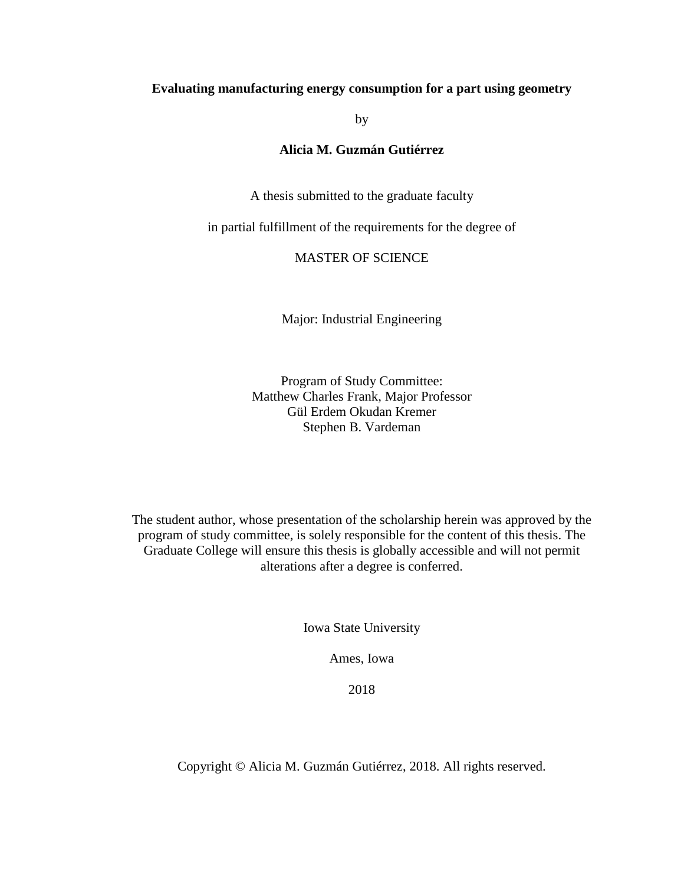# **Evaluating manufacturing energy consumption for a part using geometry**

by

# **Alicia M. Guzmán Gutiérrez**

A thesis submitted to the graduate faculty

in partial fulfillment of the requirements for the degree of

# MASTER OF SCIENCE

Major: Industrial Engineering

Program of Study Committee: Matthew Charles Frank, Major Professor Gül Erdem Okudan Kremer Stephen B. Vardeman

The student author, whose presentation of the scholarship herein was approved by the program of study committee, is solely responsible for the content of this thesis. The Graduate College will ensure this thesis is globally accessible and will not permit alterations after a degree is conferred.

Iowa State University

Ames, Iowa

2018

Copyright © Alicia M. Guzmán Gutiérrez, 2018. All rights reserved.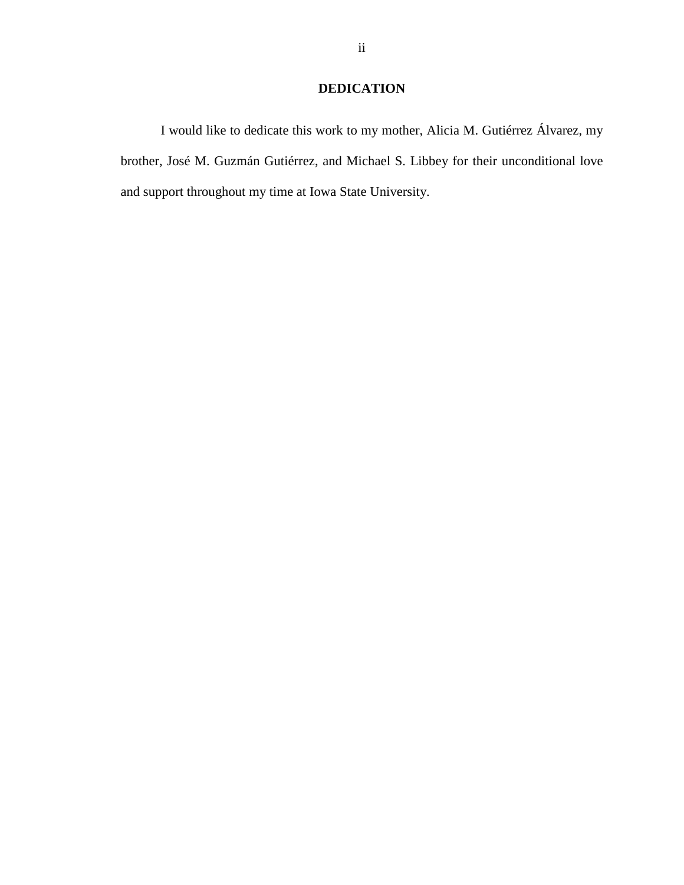# **DEDICATION**

I would like to dedicate this work to my mother, Alicia M. Gutiérrez Álvarez, my brother, José M. Guzmán Gutiérrez, and Michael S. Libbey for their unconditional love and support throughout my time at Iowa State University.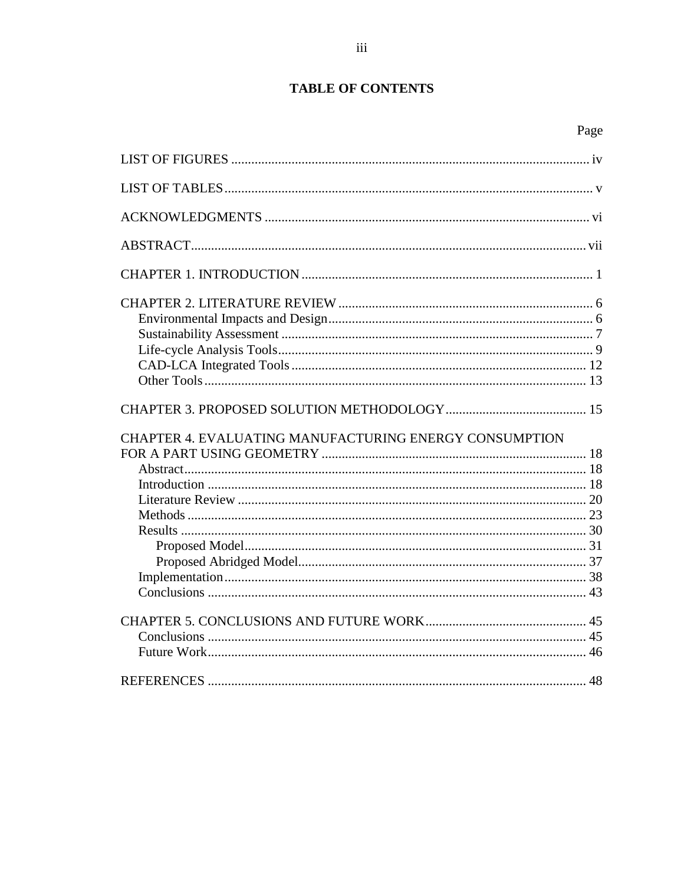# **TABLE OF CONTENTS**

| CHAPTER 4. EVALUATING MANUFACTURING ENERGY CONSUMPTION |  |
|--------------------------------------------------------|--|
|                                                        |  |
|                                                        |  |
|                                                        |  |
|                                                        |  |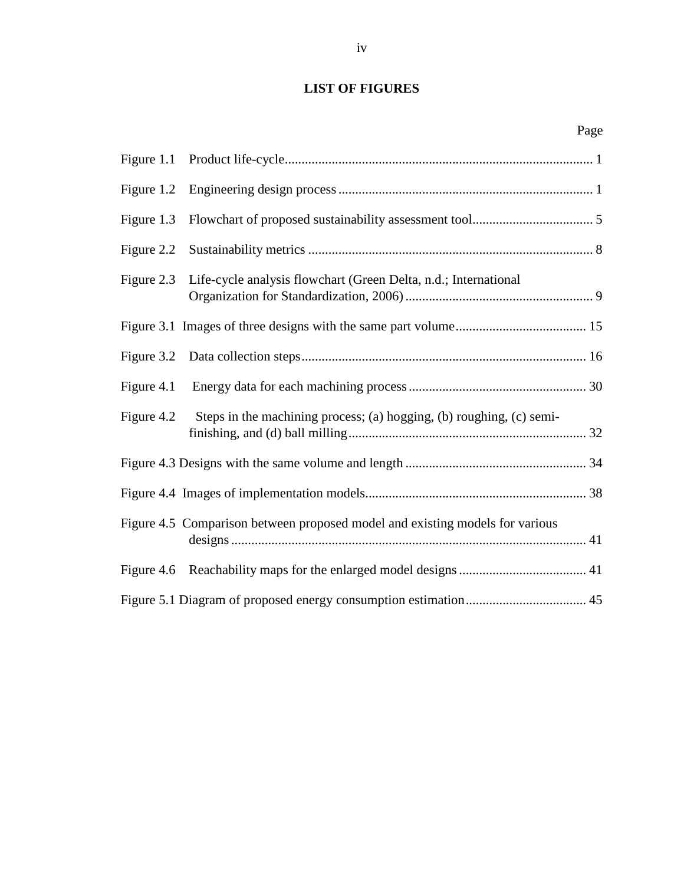# <span id="page-3-0"></span>**LIST OF FIGURES**

| iv |  |
|----|--|
|    |  |

|            | Page                                                                         |
|------------|------------------------------------------------------------------------------|
| Figure 1.1 |                                                                              |
| Figure 1.2 |                                                                              |
| Figure 1.3 |                                                                              |
| Figure 2.2 |                                                                              |
| Figure 2.3 | Life-cycle analysis flowchart (Green Delta, n.d.; International              |
|            |                                                                              |
| Figure 3.2 |                                                                              |
| Figure 4.1 |                                                                              |
| Figure 4.2 | Steps in the machining process; (a) hogging, (b) roughing, (c) semi-         |
|            |                                                                              |
|            |                                                                              |
|            | Figure 4.5 Comparison between proposed model and existing models for various |
|            |                                                                              |
|            |                                                                              |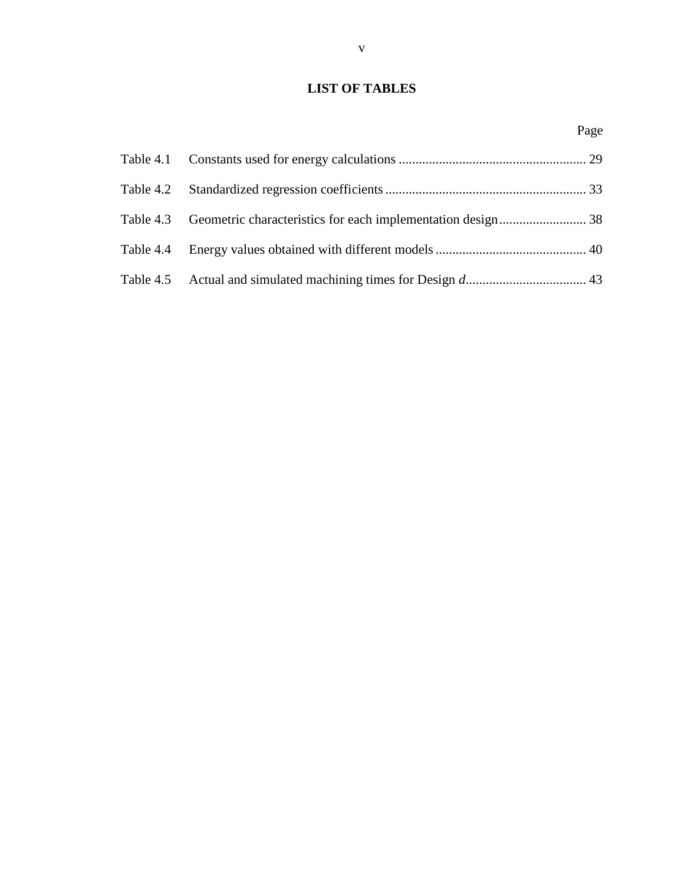# <span id="page-4-0"></span>**LIST OF TABLES**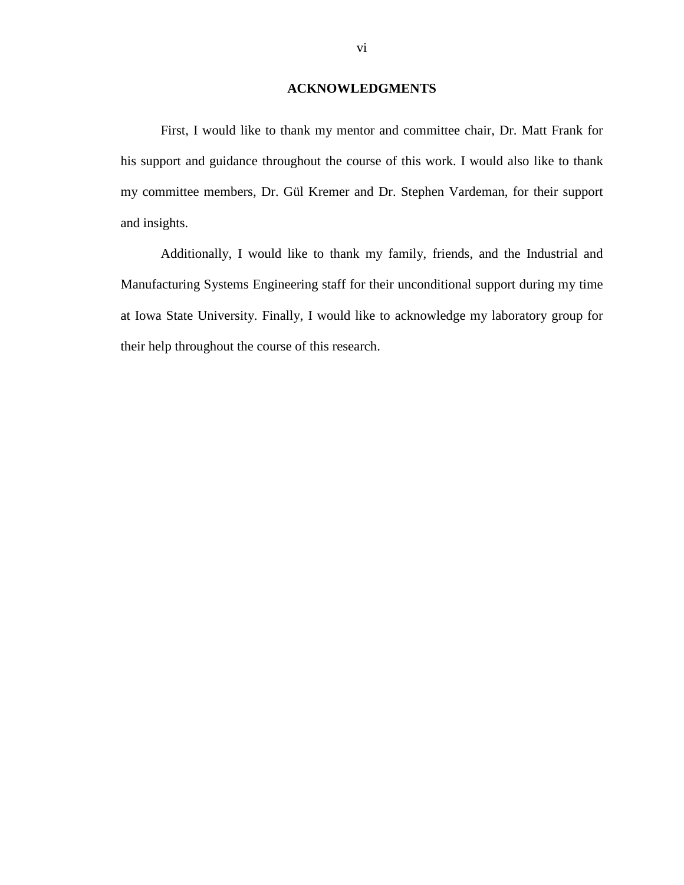# **ACKNOWLEDGMENTS**

<span id="page-5-0"></span>First, I would like to thank my mentor and committee chair, Dr. Matt Frank for his support and guidance throughout the course of this work. I would also like to thank my committee members, Dr. Gül Kremer and Dr. Stephen Vardeman, for their support and insights.

Additionally, I would like to thank my family, friends, and the Industrial and Manufacturing Systems Engineering staff for their unconditional support during my time at Iowa State University. Finally, I would like to acknowledge my laboratory group for their help throughout the course of this research.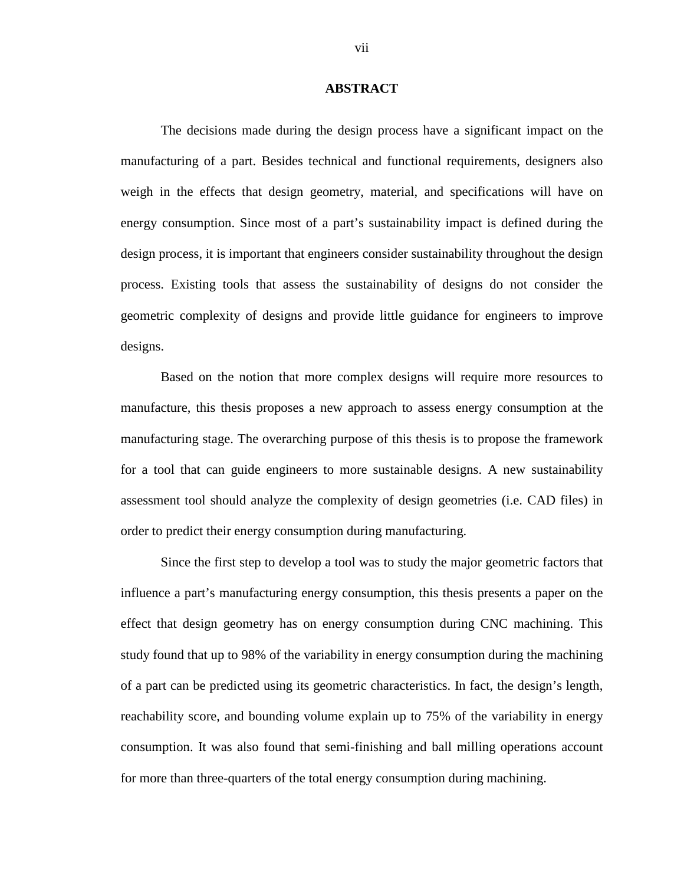### **ABSTRACT**

<span id="page-6-0"></span>The decisions made during the design process have a significant impact on the manufacturing of a part. Besides technical and functional requirements, designers also weigh in the effects that design geometry, material, and specifications will have on energy consumption. Since most of a part's sustainability impact is defined during the design process, it is important that engineers consider sustainability throughout the design process. Existing tools that assess the sustainability of designs do not consider the geometric complexity of designs and provide little guidance for engineers to improve designs.

Based on the notion that more complex designs will require more resources to manufacture, this thesis proposes a new approach to assess energy consumption at the manufacturing stage. The overarching purpose of this thesis is to propose the framework for a tool that can guide engineers to more sustainable designs. A new sustainability assessment tool should analyze the complexity of design geometries (i.e. CAD files) in order to predict their energy consumption during manufacturing.

Since the first step to develop a tool was to study the major geometric factors that influence a part's manufacturing energy consumption, this thesis presents a paper on the effect that design geometry has on energy consumption during CNC machining. This study found that up to 98% of the variability in energy consumption during the machining of a part can be predicted using its geometric characteristics. In fact, the design's length, reachability score, and bounding volume explain up to 75% of the variability in energy consumption. It was also found that semi-finishing and ball milling operations account for more than three-quarters of the total energy consumption during machining.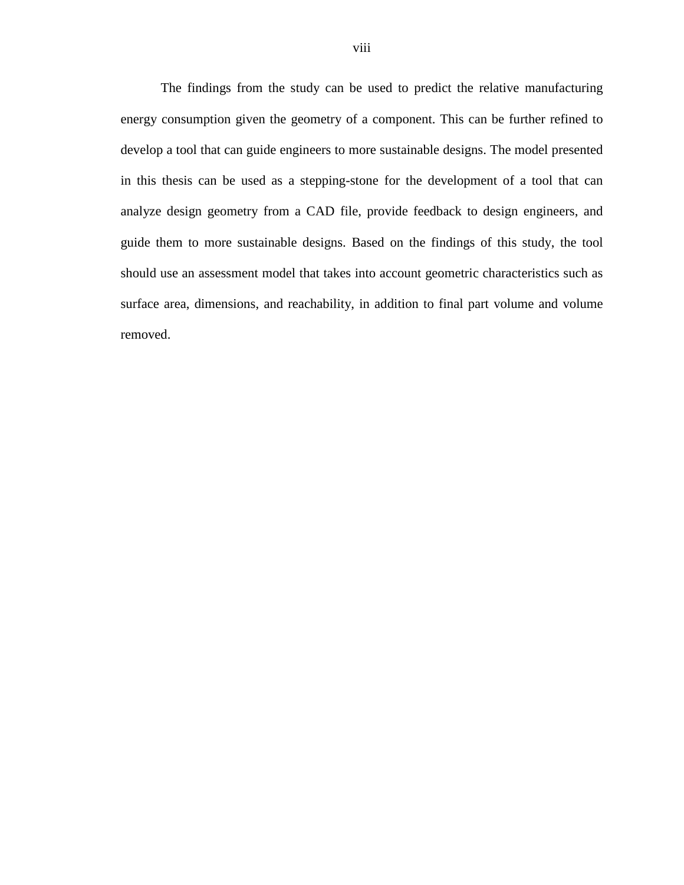The findings from the study can be used to predict the relative manufacturing energy consumption given the geometry of a component. This can be further refined to develop a tool that can guide engineers to more sustainable designs. The model presented in this thesis can be used as a stepping-stone for the development of a tool that can analyze design geometry from a CAD file, provide feedback to design engineers, and guide them to more sustainable designs. Based on the findings of this study, the tool should use an assessment model that takes into account geometric characteristics such as surface area, dimensions, and reachability, in addition to final part volume and volume removed.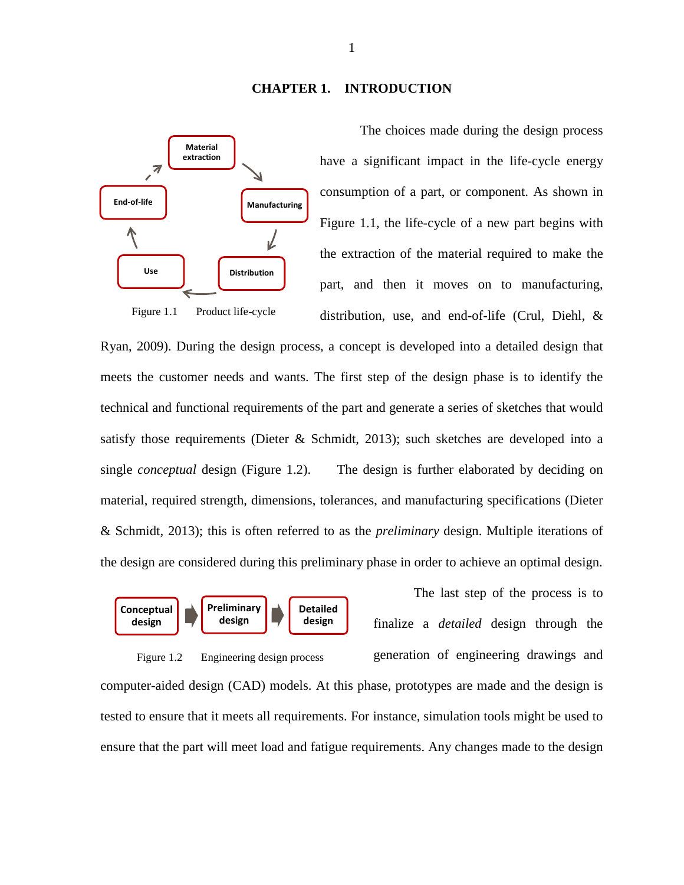## **CHAPTER 1. INTRODUCTION**

<span id="page-8-0"></span>

The choices made during the design process have a significant impact in the life-cycle energy consumption of a part, or component. As shown in [Figure 1.1,](#page-8-1) the life-cycle of a new part begins with the extraction of the material required to make the part, and then it moves on to manufacturing, distribution, use, and end-of-life (Crul, Diehl, &

<span id="page-8-1"></span>Ryan, 2009). During the design process, a concept is developed into a detailed design that meets the customer needs and wants. The first step of the design phase is to identify the technical and functional requirements of the part and generate a series of sketches that would satisfy those requirements (Dieter & Schmidt, 2013); such sketches are developed into a single *conceptual* design [\(Figure 1.2\)](#page-8-2). The design is further elaborated by deciding on material, required strength, dimensions, tolerances, and manufacturing specifications (Dieter & Schmidt, 2013); this is often referred to as the *preliminary* design. Multiple iterations of the design are considered during this preliminary phase in order to achieve an optimal design.



<span id="page-8-2"></span>Figure 1.2 Engineering design process

The last step of the process is to finalize a *detailed* design through the generation of engineering drawings and

computer-aided design (CAD) models. At this phase, prototypes are made and the design is tested to ensure that it meets all requirements. For instance, simulation tools might be used to ensure that the part will meet load and fatigue requirements. Any changes made to the design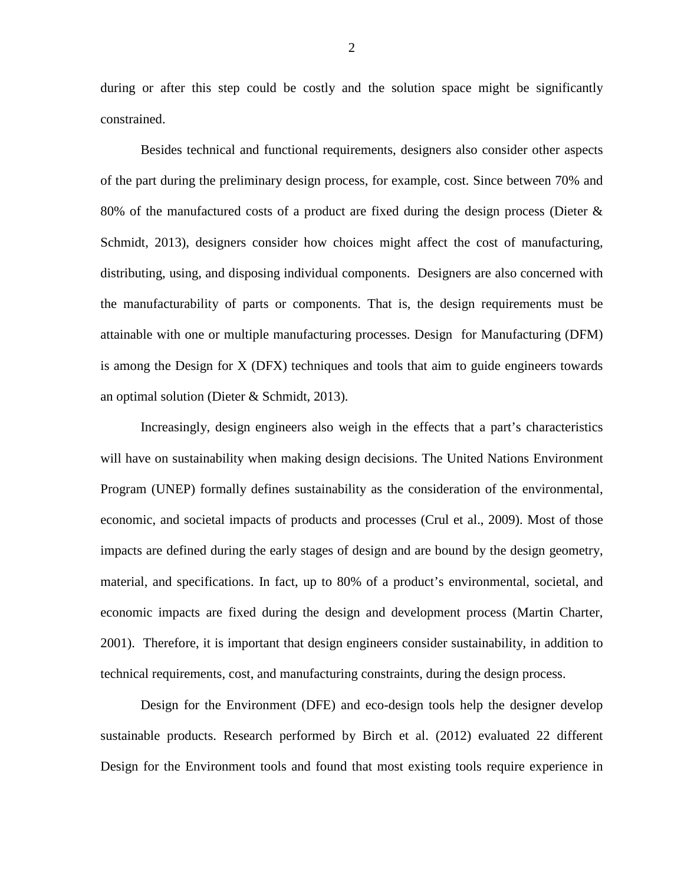during or after this step could be costly and the solution space might be significantly constrained.

Besides technical and functional requirements, designers also consider other aspects of the part during the preliminary design process, for example, cost. Since between 70% and 80% of the manufactured costs of a product are fixed during the design process (Dieter  $\&$ Schmidt, 2013), designers consider how choices might affect the cost of manufacturing, distributing, using, and disposing individual components. Designers are also concerned with the manufacturability of parts or components. That is, the design requirements must be attainable with one or multiple manufacturing processes. Design for Manufacturing (DFM) is among the Design for X (DFX) techniques and tools that aim to guide engineers towards an optimal solution (Dieter & Schmidt, 2013).

Increasingly, design engineers also weigh in the effects that a part's characteristics will have on sustainability when making design decisions. The United Nations Environment Program (UNEP) formally defines sustainability as the consideration of the environmental, economic, and societal impacts of products and processes (Crul et al., 2009). Most of those impacts are defined during the early stages of design and are bound by the design geometry, material, and specifications. In fact, up to 80% of a product's environmental, societal, and economic impacts are fixed during the design and development process (Martin Charter, 2001). Therefore, it is important that design engineers consider sustainability, in addition to technical requirements, cost, and manufacturing constraints, during the design process.

Design for the Environment (DFE) and eco-design tools help the designer develop sustainable products. Research performed by Birch et al. (2012) evaluated 22 different Design for the Environment tools and found that most existing tools require experience in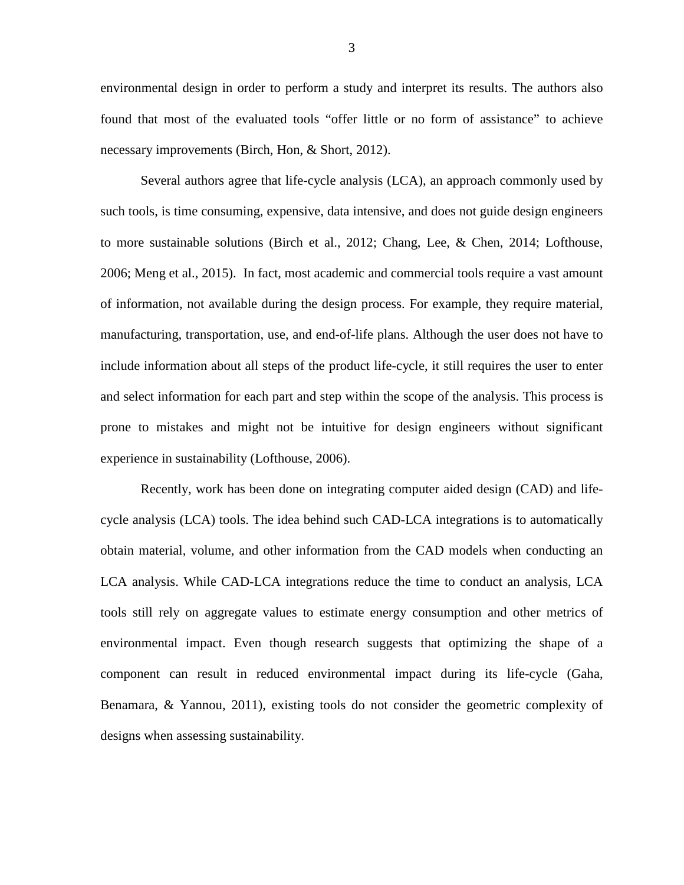environmental design in order to perform a study and interpret its results. The authors also found that most of the evaluated tools "offer little or no form of assistance" to achieve necessary improvements (Birch, Hon, & Short, 2012).

Several authors agree that life-cycle analysis (LCA), an approach commonly used by such tools, is time consuming, expensive, data intensive, and does not guide design engineers to more sustainable solutions (Birch et al., 2012; Chang, Lee, & Chen, 2014; Lofthouse, 2006; Meng et al., 2015). In fact, most academic and commercial tools require a vast amount of information, not available during the design process. For example, they require material, manufacturing, transportation, use, and end-of-life plans. Although the user does not have to include information about all steps of the product life-cycle, it still requires the user to enter and select information for each part and step within the scope of the analysis. This process is prone to mistakes and might not be intuitive for design engineers without significant experience in sustainability (Lofthouse, 2006).

Recently, work has been done on integrating computer aided design (CAD) and lifecycle analysis (LCA) tools. The idea behind such CAD-LCA integrations is to automatically obtain material, volume, and other information from the CAD models when conducting an LCA analysis. While CAD-LCA integrations reduce the time to conduct an analysis, LCA tools still rely on aggregate values to estimate energy consumption and other metrics of environmental impact. Even though research suggests that optimizing the shape of a component can result in reduced environmental impact during its life-cycle (Gaha, Benamara, & Yannou, 2011), existing tools do not consider the geometric complexity of designs when assessing sustainability.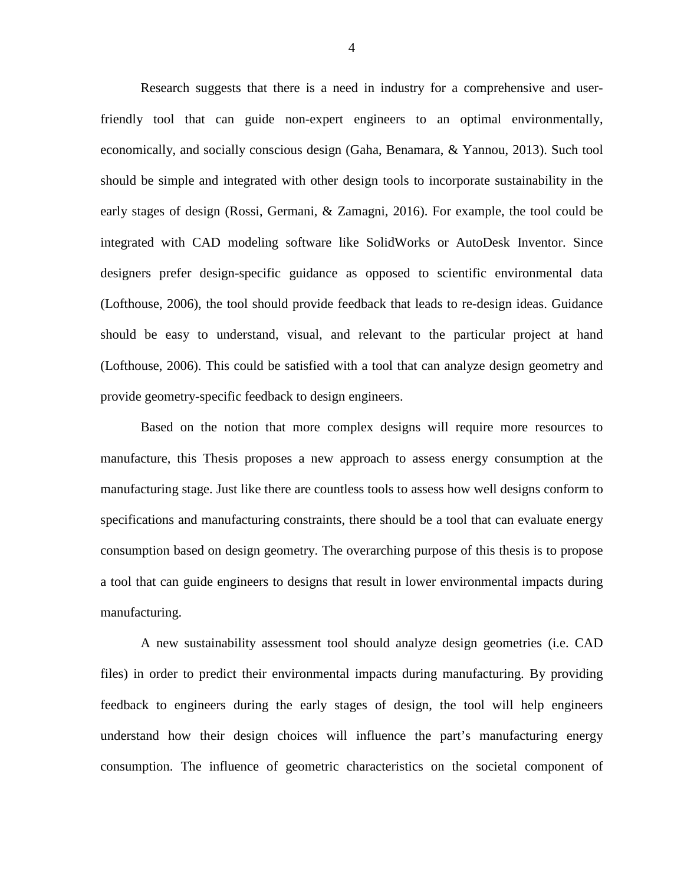Research suggests that there is a need in industry for a comprehensive and userfriendly tool that can guide non-expert engineers to an optimal environmentally, economically, and socially conscious design (Gaha, Benamara, & Yannou, 2013). Such tool should be simple and integrated with other design tools to incorporate sustainability in the early stages of design (Rossi, Germani, & Zamagni, 2016). For example, the tool could be integrated with CAD modeling software like SolidWorks or AutoDesk Inventor. Since designers prefer design-specific guidance as opposed to scientific environmental data (Lofthouse, 2006), the tool should provide feedback that leads to re-design ideas. Guidance should be easy to understand, visual, and relevant to the particular project at hand (Lofthouse, 2006). This could be satisfied with a tool that can analyze design geometry and provide geometry-specific feedback to design engineers.

Based on the notion that more complex designs will require more resources to manufacture, this Thesis proposes a new approach to assess energy consumption at the manufacturing stage. Just like there are countless tools to assess how well designs conform to specifications and manufacturing constraints, there should be a tool that can evaluate energy consumption based on design geometry. The overarching purpose of this thesis is to propose a tool that can guide engineers to designs that result in lower environmental impacts during manufacturing.

A new sustainability assessment tool should analyze design geometries (i.e. CAD files) in order to predict their environmental impacts during manufacturing. By providing feedback to engineers during the early stages of design, the tool will help engineers understand how their design choices will influence the part's manufacturing energy consumption. The influence of geometric characteristics on the societal component of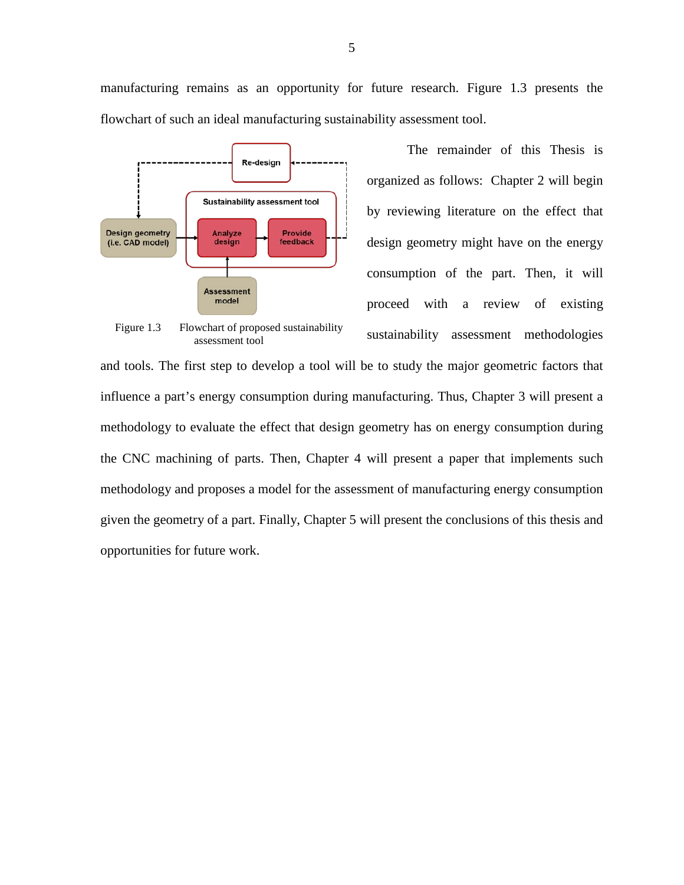manufacturing remains as an opportunity for future research. [Figure 1.3](#page-12-0) presents the flowchart of such an ideal manufacturing sustainability assessment tool.



<span id="page-12-0"></span>Figure 1.3 Flowchart of proposed sustainability assessment tool

The remainder of this Thesis is organized as follows: Chapter 2 will begin by reviewing literature on the effect that design geometry might have on the energy consumption of the part. Then, it will proceed with a review of existing sustainability assessment methodologies

and tools. The first step to develop a tool will be to study the major geometric factors that influence a part's energy consumption during manufacturing. Thus, Chapter 3 will present a methodology to evaluate the effect that design geometry has on energy consumption during the CNC machining of parts. Then, Chapter 4 will present a paper that implements such methodology and proposes a model for the assessment of manufacturing energy consumption given the geometry of a part. Finally, Chapter 5 will present the conclusions of this thesis and opportunities for future work.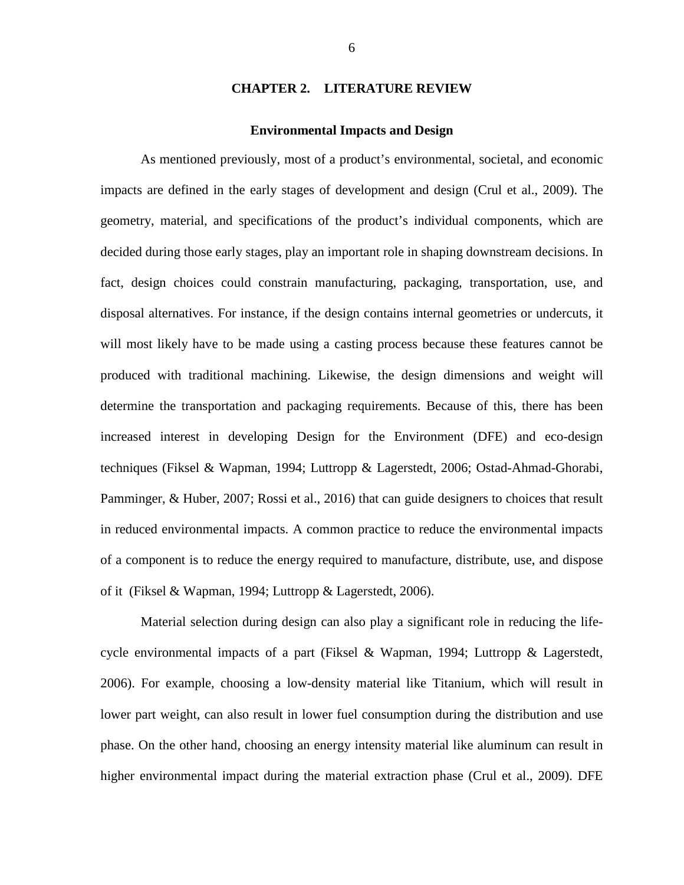# **CHAPTER 2. LITERATURE REVIEW**

### **Environmental Impacts and Design**

<span id="page-13-1"></span><span id="page-13-0"></span>As mentioned previously, most of a product's environmental, societal, and economic impacts are defined in the early stages of development and design (Crul et al., 2009). The geometry, material, and specifications of the product's individual components, which are decided during those early stages, play an important role in shaping downstream decisions. In fact, design choices could constrain manufacturing, packaging, transportation, use, and disposal alternatives. For instance, if the design contains internal geometries or undercuts, it will most likely have to be made using a casting process because these features cannot be produced with traditional machining. Likewise, the design dimensions and weight will determine the transportation and packaging requirements. Because of this, there has been increased interest in developing Design for the Environment (DFE) and eco-design techniques (Fiksel & Wapman, 1994; Luttropp & Lagerstedt, 2006; Ostad-Ahmad-Ghorabi, Pamminger, & Huber, 2007; Rossi et al., 2016) that can guide designers to choices that result in reduced environmental impacts. A common practice to reduce the environmental impacts of a component is to reduce the energy required to manufacture, distribute, use, and dispose of it (Fiksel & Wapman, 1994; Luttropp & Lagerstedt, 2006).

Material selection during design can also play a significant role in reducing the lifecycle environmental impacts of a part (Fiksel & Wapman, 1994; Luttropp & Lagerstedt, 2006). For example, choosing a low-density material like Titanium, which will result in lower part weight, can also result in lower fuel consumption during the distribution and use phase. On the other hand, choosing an energy intensity material like aluminum can result in higher environmental impact during the material extraction phase (Crul et al., 2009). DFE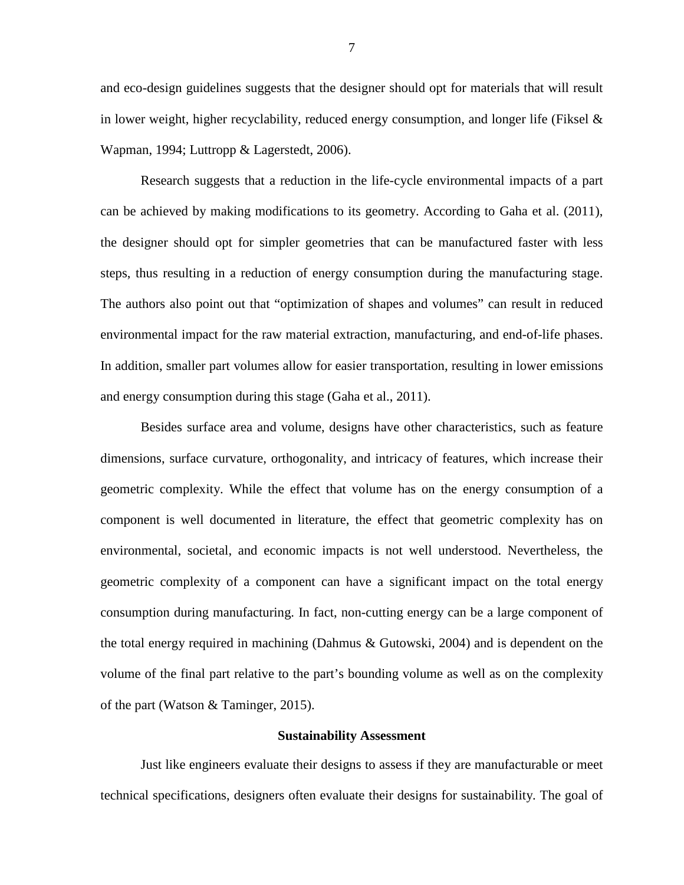and eco-design guidelines suggests that the designer should opt for materials that will result in lower weight, higher recyclability, reduced energy consumption, and longer life (Fiksel  $\&$ Wapman, 1994; Luttropp & Lagerstedt, 2006).

Research suggests that a reduction in the life-cycle environmental impacts of a part can be achieved by making modifications to its geometry. According to Gaha et al. (2011), the designer should opt for simpler geometries that can be manufactured faster with less steps, thus resulting in a reduction of energy consumption during the manufacturing stage. The authors also point out that "optimization of shapes and volumes" can result in reduced environmental impact for the raw material extraction, manufacturing, and end-of-life phases. In addition, smaller part volumes allow for easier transportation, resulting in lower emissions and energy consumption during this stage (Gaha et al., 2011).

Besides surface area and volume, designs have other characteristics, such as feature dimensions, surface curvature, orthogonality, and intricacy of features, which increase their geometric complexity. While the effect that volume has on the energy consumption of a component is well documented in literature, the effect that geometric complexity has on environmental, societal, and economic impacts is not well understood. Nevertheless, the geometric complexity of a component can have a significant impact on the total energy consumption during manufacturing. In fact, non-cutting energy can be a large component of the total energy required in machining (Dahmus & Gutowski, 2004) and is dependent on the volume of the final part relative to the part's bounding volume as well as on the complexity of the part (Watson & Taminger, 2015).

## **Sustainability Assessment**

<span id="page-14-0"></span>Just like engineers evaluate their designs to assess if they are manufacturable or meet technical specifications, designers often evaluate their designs for sustainability. The goal of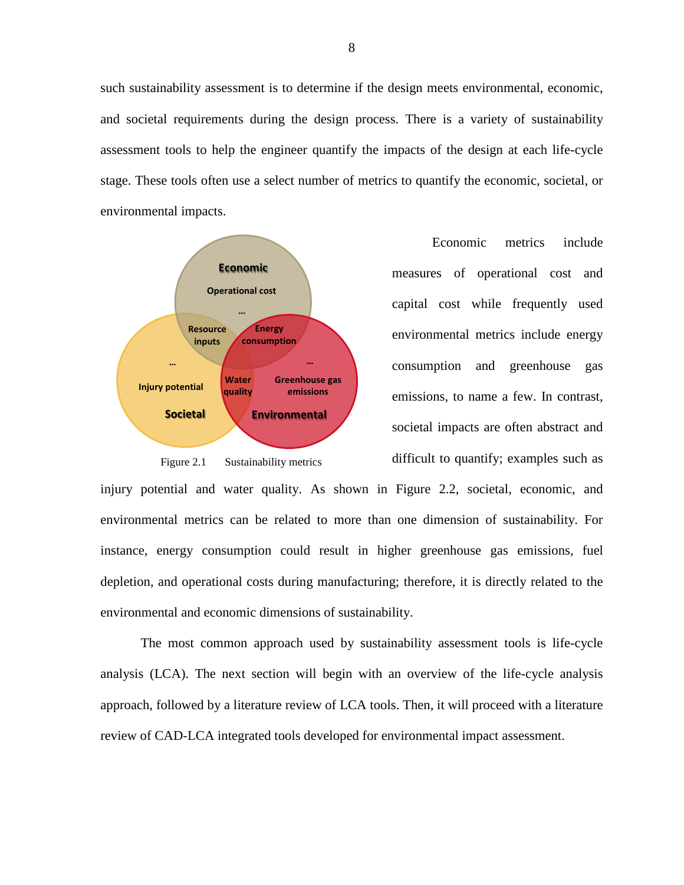such sustainability assessment is to determine if the design meets environmental, economic, and societal requirements during the design process. There is a variety of sustainability assessment tools to help the engineer quantify the impacts of the design at each life-cycle stage. These tools often use a select number of metrics to quantify the economic, societal, or environmental impacts.



<span id="page-15-0"></span>Figure 2.1 Sustainability metrics

Economic metrics include measures of operational cost and capital cost while frequently used environmental metrics include energy consumption and greenhouse gas emissions, to name a few. In contrast, societal impacts are often abstract and difficult to quantify; examples such as

injury potential and water quality. As shown in [Figure 2.2,](#page-15-0) societal, economic, and environmental metrics can be related to more than one dimension of sustainability. For instance, energy consumption could result in higher greenhouse gas emissions, fuel depletion, and operational costs during manufacturing; therefore, it is directly related to the environmental and economic dimensions of sustainability.

The most common approach used by sustainability assessment tools is life-cycle analysis (LCA). The next section will begin with an overview of the life-cycle analysis approach, followed by a literature review of LCA tools. Then, it will proceed with a literature review of CAD-LCA integrated tools developed for environmental impact assessment.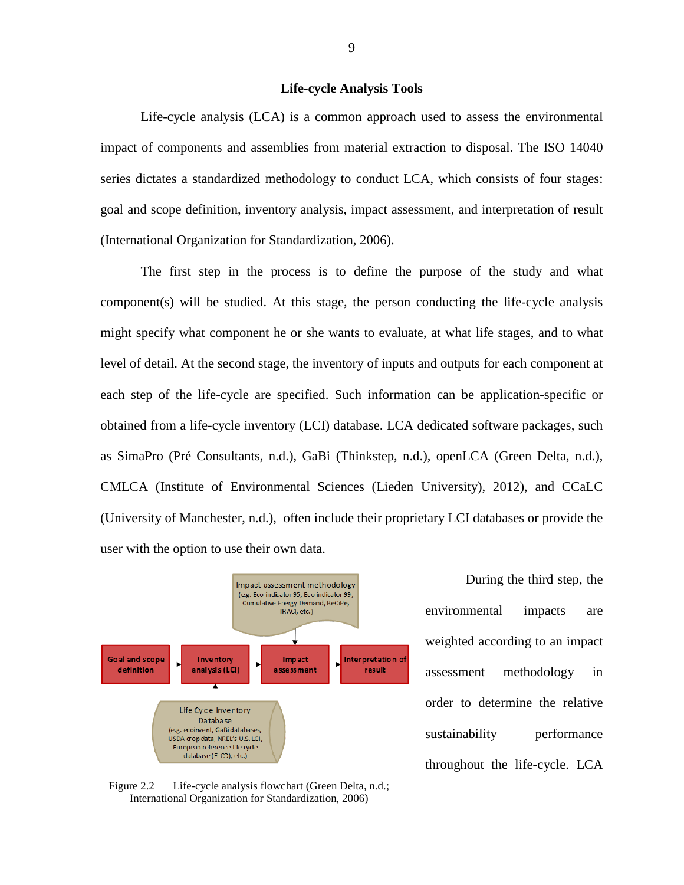## **Life-cycle Analysis Tools**

<span id="page-16-0"></span>Life-cycle analysis (LCA) is a common approach used to assess the environmental impact of components and assemblies from material extraction to disposal. The ISO 14040 series dictates a standardized methodology to conduct LCA, which consists of four stages: goal and scope definition, inventory analysis, impact assessment, and interpretation of result (International Organization for Standardization, 2006).

The first step in the process is to define the purpose of the study and what component(s) will be studied. At this stage, the person conducting the life-cycle analysis might specify what component he or she wants to evaluate, at what life stages, and to what level of detail. At the second stage, the inventory of inputs and outputs for each component at each step of the life-cycle are specified. Such information can be application-specific or obtained from a life-cycle inventory (LCI) database. LCA dedicated software packages, such as SimaPro (Pré Consultants, n.d.), GaBi (Thinkstep, n.d.), openLCA (Green Delta, n.d.), CMLCA (Institute of Environmental Sciences (Lieden University), 2012), and CCaLC (University of Manchester, n.d.), often include their proprietary LCI databases or provide the user with the option to use their own data.



During the third step, the environmental impacts are weighted according to an impact assessment methodology in order to determine the relative sustainability performance throughout the life-cycle. LCA

<span id="page-16-1"></span>Figure 2.2 Life-cycle analysis flowchart (Green Delta, n.d.; International Organization for Standardization, 2006)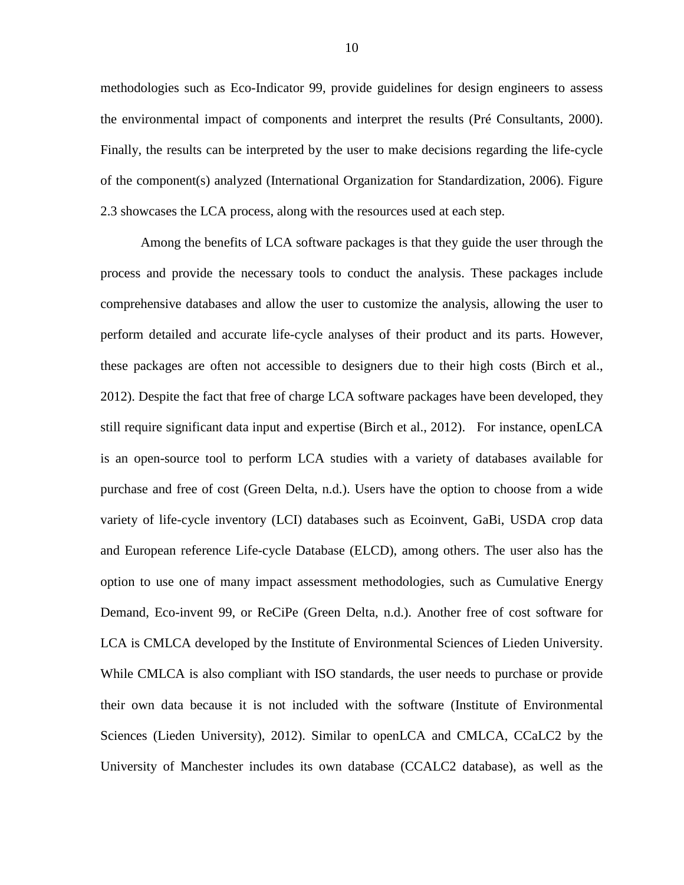methodologies such as Eco-Indicator 99, provide guidelines for design engineers to assess the environmental impact of components and interpret the results (Pré Consultants, 2000). Finally, the results can be interpreted by the user to make decisions regarding the life-cycle of the component(s) analyzed (International Organization for Standardization, 2006). [Figure](#page-16-1)  [2.3](#page-16-1) showcases the LCA process, along with the resources used at each step.

Among the benefits of LCA software packages is that they guide the user through the process and provide the necessary tools to conduct the analysis. These packages include comprehensive databases and allow the user to customize the analysis, allowing the user to perform detailed and accurate life-cycle analyses of their product and its parts. However, these packages are often not accessible to designers due to their high costs (Birch et al., 2012). Despite the fact that free of charge LCA software packages have been developed, they still require significant data input and expertise (Birch et al., 2012). For instance, openLCA is an open-source tool to perform LCA studies with a variety of databases available for purchase and free of cost (Green Delta, n.d.). Users have the option to choose from a wide variety of life-cycle inventory (LCI) databases such as Ecoinvent, GaBi, USDA crop data and European reference Life-cycle Database (ELCD), among others. The user also has the option to use one of many impact assessment methodologies, such as Cumulative Energy Demand, Eco-invent 99, or ReCiPe (Green Delta, n.d.). Another free of cost software for LCA is CMLCA developed by the Institute of Environmental Sciences of Lieden University. While CMLCA is also compliant with ISO standards, the user needs to purchase or provide their own data because it is not included with the software (Institute of Environmental Sciences (Lieden University), 2012). Similar to openLCA and CMLCA, CCaLC2 by the University of Manchester includes its own database (CCALC2 database), as well as the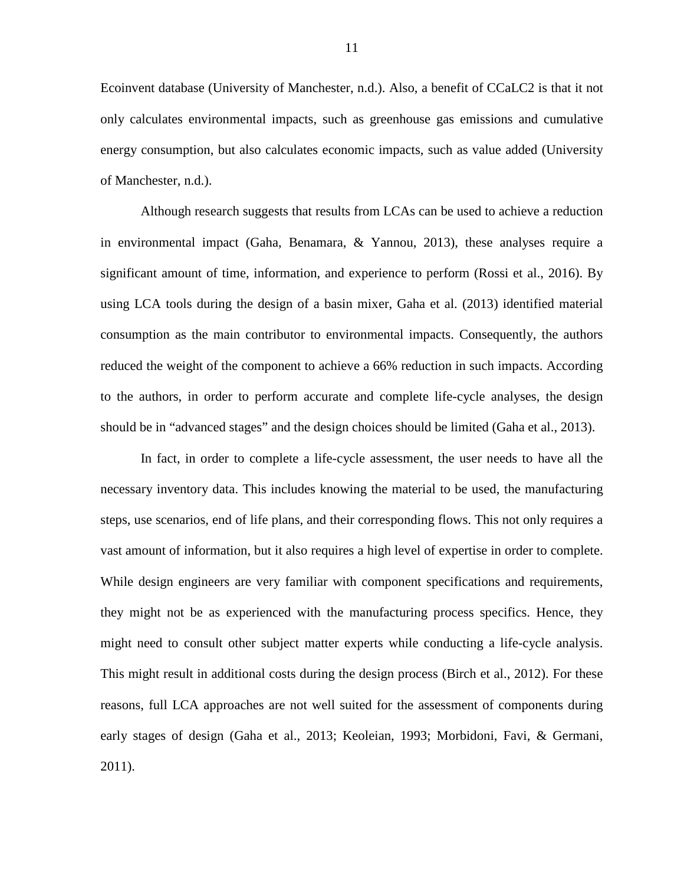Ecoinvent database (University of Manchester, n.d.). Also, a benefit of CCaLC2 is that it not only calculates environmental impacts, such as greenhouse gas emissions and cumulative energy consumption, but also calculates economic impacts, such as value added (University of Manchester, n.d.).

Although research suggests that results from LCAs can be used to achieve a reduction in environmental impact (Gaha, Benamara, & Yannou, 2013), these analyses require a significant amount of time, information, and experience to perform (Rossi et al., 2016). By using LCA tools during the design of a basin mixer, Gaha et al. (2013) identified material consumption as the main contributor to environmental impacts. Consequently, the authors reduced the weight of the component to achieve a 66% reduction in such impacts. According to the authors, in order to perform accurate and complete life-cycle analyses, the design should be in "advanced stages" and the design choices should be limited (Gaha et al., 2013).

In fact, in order to complete a life-cycle assessment, the user needs to have all the necessary inventory data. This includes knowing the material to be used, the manufacturing steps, use scenarios, end of life plans, and their corresponding flows. This not only requires a vast amount of information, but it also requires a high level of expertise in order to complete. While design engineers are very familiar with component specifications and requirements, they might not be as experienced with the manufacturing process specifics. Hence, they might need to consult other subject matter experts while conducting a life-cycle analysis. This might result in additional costs during the design process (Birch et al., 2012). For these reasons, full LCA approaches are not well suited for the assessment of components during early stages of design (Gaha et al., 2013; Keoleian, 1993; Morbidoni, Favi, & Germani, 2011).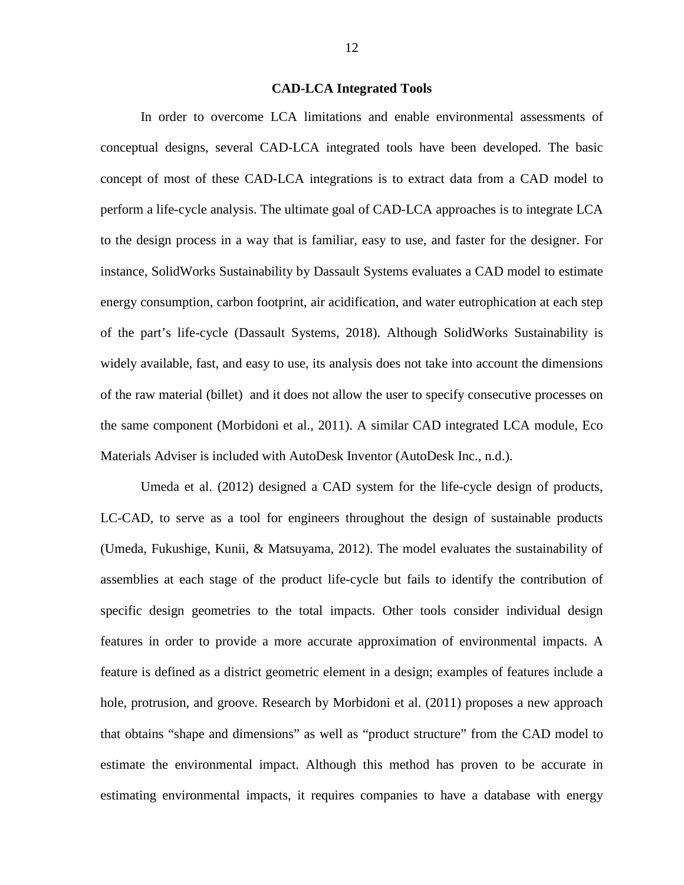### **CAD-LCA Integrated Tools**

<span id="page-19-0"></span>In order to overcome LCA limitations and enable environmental assessments of conceptual designs, several CAD-LCA integrated tools have been developed. The basic concept of most of these CAD-LCA integrations is to extract data from a CAD model to perform a life-cycle analysis. The ultimate goal of CAD-LCA approaches is to integrate LCA to the design process in a way that is familiar, easy to use, and faster for the designer. For instance, SolidWorks Sustainability by Dassault Systems evaluates a CAD model to estimate energy consumption, carbon footprint, air acidification, and water eutrophication at each step of the part's life-cycle (Dassault Systems, 2018). Although SolidWorks Sustainability is widely available, fast, and easy to use, its analysis does not take into account the dimensions of the raw material (billet) and it does not allow the user to specify consecutive processes on the same component (Morbidoni et al., 2011). A similar CAD integrated LCA module, Eco Materials Adviser is included with AutoDesk Inventor (AutoDesk Inc., n.d.).

Umeda et al. (2012) designed a CAD system for the life-cycle design of products, LC-CAD, to serve as a tool for engineers throughout the design of sustainable products (Umeda, Fukushige, Kunii, & Matsuyama, 2012). The model evaluates the sustainability of assemblies at each stage of the product life-cycle but fails to identify the contribution of specific design geometries to the total impacts. Other tools consider individual design features in order to provide a more accurate approximation of environmental impacts. A feature is defined as a district geometric element in a design; examples of features include a hole, protrusion, and groove. Research by Morbidoni et al. (2011) proposes a new approach that obtains "shape and dimensions" as well as "product structure" from the CAD model to estimate the environmental impact. Although this method has proven to be accurate in estimating environmental impacts, it requires companies to have a database with energy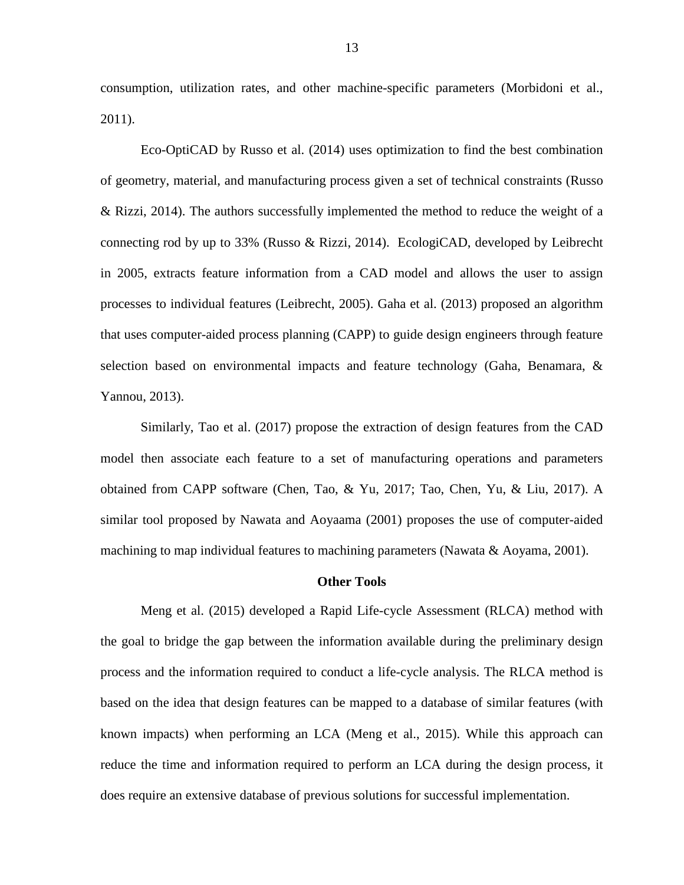consumption, utilization rates, and other machine-specific parameters (Morbidoni et al., 2011).

Eco-OptiCAD by Russo et al. (2014) uses optimization to find the best combination of geometry, material, and manufacturing process given a set of technical constraints (Russo & Rizzi, 2014). The authors successfully implemented the method to reduce the weight of a connecting rod by up to 33% (Russo & Rizzi, 2014). EcologiCAD, developed by Leibrecht in 2005, extracts feature information from a CAD model and allows the user to assign processes to individual features (Leibrecht, 2005). Gaha et al. (2013) proposed an algorithm that uses computer-aided process planning (CAPP) to guide design engineers through feature selection based on environmental impacts and feature technology (Gaha, Benamara, & Yannou, 2013).

Similarly, Tao et al. (2017) propose the extraction of design features from the CAD model then associate each feature to a set of manufacturing operations and parameters obtained from CAPP software (Chen, Tao, & Yu, 2017; Tao, Chen, Yu, & Liu, 2017). A similar tool proposed by Nawata and Aoyaama (2001) proposes the use of computer-aided machining to map individual features to machining parameters (Nawata & Aoyama, 2001).

#### **Other Tools**

<span id="page-20-0"></span>Meng et al. (2015) developed a Rapid Life-cycle Assessment (RLCA) method with the goal to bridge the gap between the information available during the preliminary design process and the information required to conduct a life-cycle analysis. The RLCA method is based on the idea that design features can be mapped to a database of similar features (with known impacts) when performing an LCA (Meng et al., 2015). While this approach can reduce the time and information required to perform an LCA during the design process, it does require an extensive database of previous solutions for successful implementation.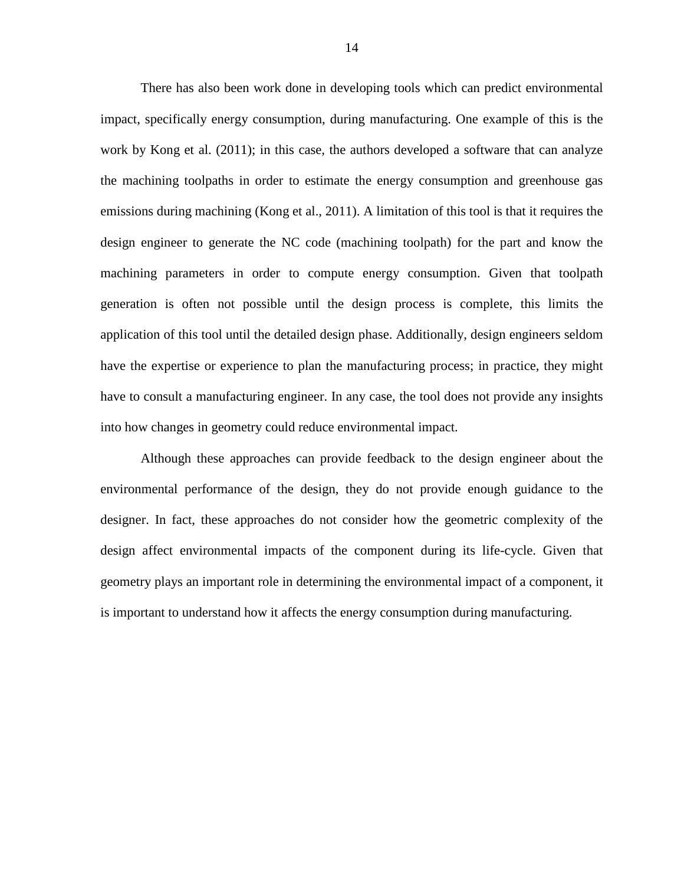There has also been work done in developing tools which can predict environmental impact, specifically energy consumption, during manufacturing. One example of this is the work by Kong et al. (2011); in this case, the authors developed a software that can analyze the machining toolpaths in order to estimate the energy consumption and greenhouse gas emissions during machining (Kong et al., 2011). A limitation of this tool is that it requires the design engineer to generate the NC code (machining toolpath) for the part and know the machining parameters in order to compute energy consumption. Given that toolpath generation is often not possible until the design process is complete, this limits the application of this tool until the detailed design phase. Additionally, design engineers seldom have the expertise or experience to plan the manufacturing process; in practice, they might have to consult a manufacturing engineer. In any case, the tool does not provide any insights into how changes in geometry could reduce environmental impact.

Although these approaches can provide feedback to the design engineer about the environmental performance of the design, they do not provide enough guidance to the designer. In fact, these approaches do not consider how the geometric complexity of the design affect environmental impacts of the component during its life-cycle. Given that geometry plays an important role in determining the environmental impact of a component, it is important to understand how it affects the energy consumption during manufacturing.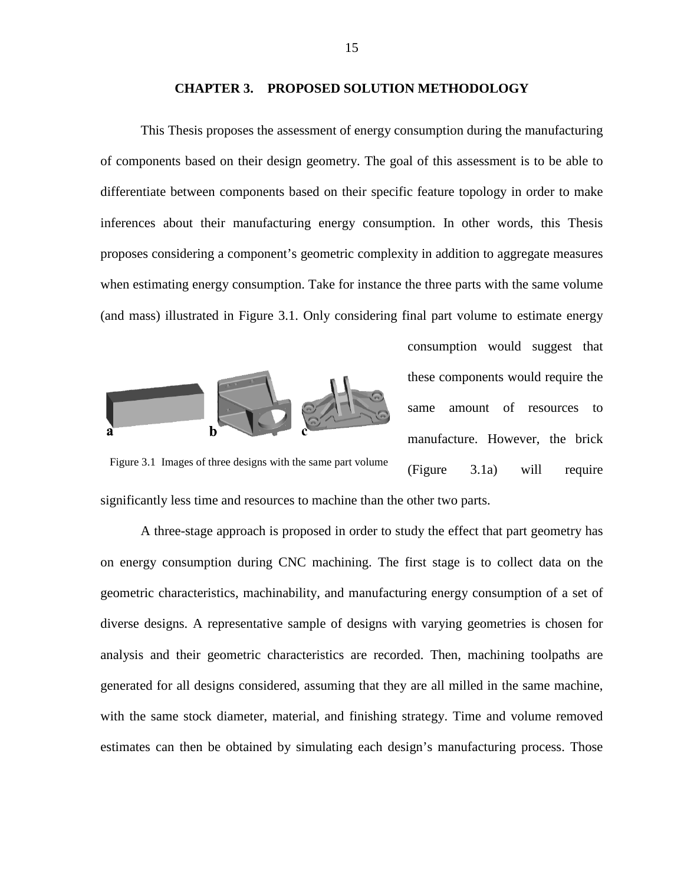### **CHAPTER 3. PROPOSED SOLUTION METHODOLOGY**

<span id="page-22-0"></span>This Thesis proposes the assessment of energy consumption during the manufacturing of components based on their design geometry. The goal of this assessment is to be able to differentiate between components based on their specific feature topology in order to make inferences about their manufacturing energy consumption. In other words, this Thesis proposes considering a component's geometric complexity in addition to aggregate measures when estimating energy consumption. Take for instance the three parts with the same volume (and mass) illustrated in [Figure 3.1.](#page-22-1) Only considering final part volume to estimate energy



consumption would suggest that these components would require the same amount of resources to manufacture. However, the brick [\(Figure 3.1a](#page-22-1)) will require

<span id="page-22-1"></span>Figure 3.1 Images of three designs with the same part volume

significantly less time and resources to machine than the other two parts.

A three-stage approach is proposed in order to study the effect that part geometry has on energy consumption during CNC machining. The first stage is to collect data on the geometric characteristics, machinability, and manufacturing energy consumption of a set of diverse designs. A representative sample of designs with varying geometries is chosen for analysis and their geometric characteristics are recorded. Then, machining toolpaths are generated for all designs considered, assuming that they are all milled in the same machine, with the same stock diameter, material, and finishing strategy. Time and volume removed estimates can then be obtained by simulating each design's manufacturing process. Those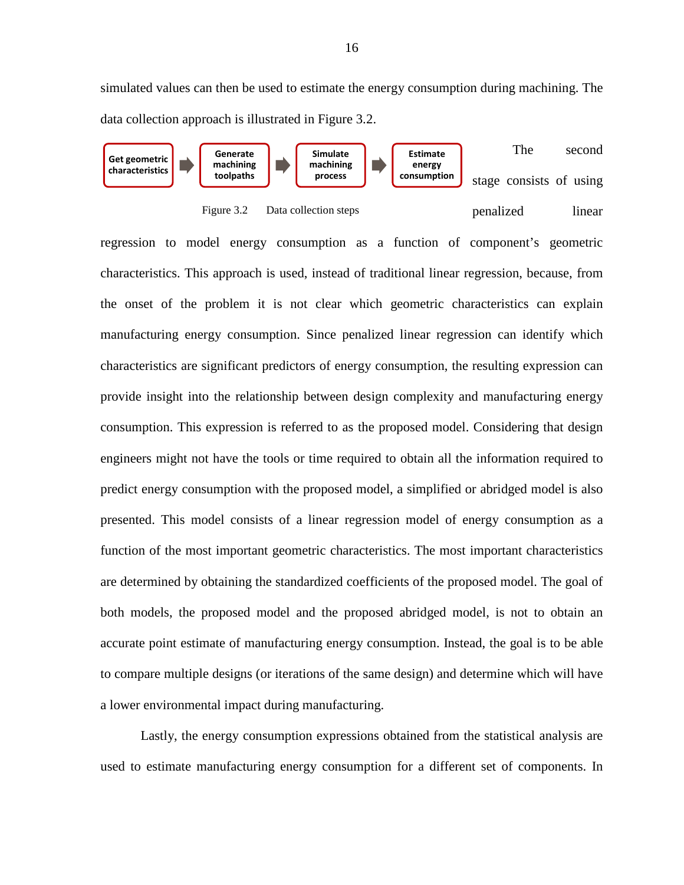simulated values can then be used to estimate the energy consumption during machining. The data collection approach is illustrated in [Figure 3.2.](#page-23-0)





<span id="page-23-0"></span>regression to model energy consumption as a function of component's geometric characteristics. This approach is used, instead of traditional linear regression, because, from the onset of the problem it is not clear which geometric characteristics can explain manufacturing energy consumption. Since penalized linear regression can identify which characteristics are significant predictors of energy consumption, the resulting expression can provide insight into the relationship between design complexity and manufacturing energy consumption. This expression is referred to as the proposed model. Considering that design engineers might not have the tools or time required to obtain all the information required to predict energy consumption with the proposed model, a simplified or abridged model is also presented. This model consists of a linear regression model of energy consumption as a function of the most important geometric characteristics. The most important characteristics are determined by obtaining the standardized coefficients of the proposed model. The goal of both models, the proposed model and the proposed abridged model, is not to obtain an accurate point estimate of manufacturing energy consumption. Instead, the goal is to be able to compare multiple designs (or iterations of the same design) and determine which will have a lower environmental impact during manufacturing.

Lastly, the energy consumption expressions obtained from the statistical analysis are used to estimate manufacturing energy consumption for a different set of components. In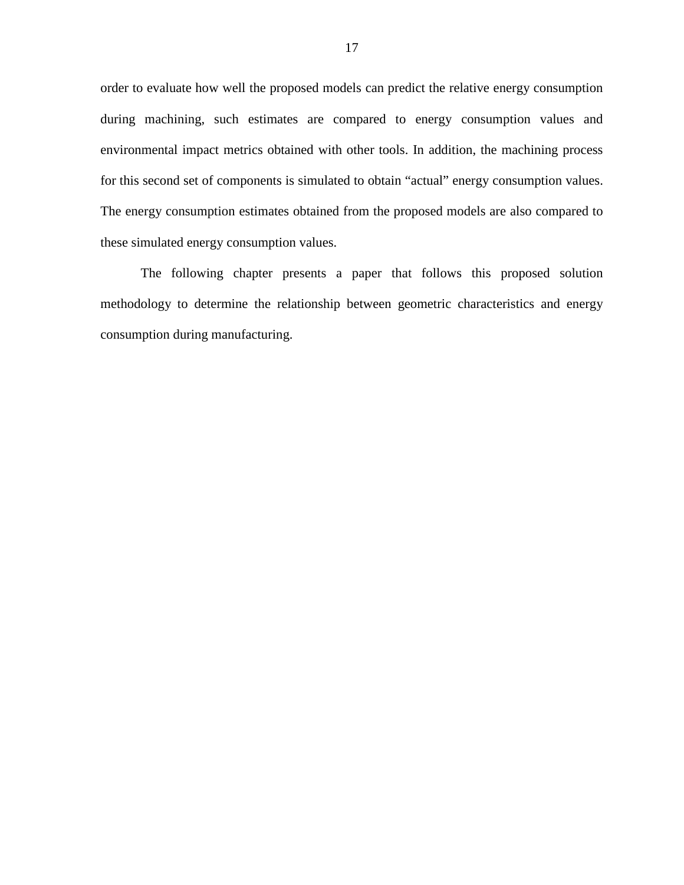order to evaluate how well the proposed models can predict the relative energy consumption during machining, such estimates are compared to energy consumption values and environmental impact metrics obtained with other tools. In addition, the machining process for this second set of components is simulated to obtain "actual" energy consumption values. The energy consumption estimates obtained from the proposed models are also compared to these simulated energy consumption values.

The following chapter presents a paper that follows this proposed solution methodology to determine the relationship between geometric characteristics and energy consumption during manufacturing.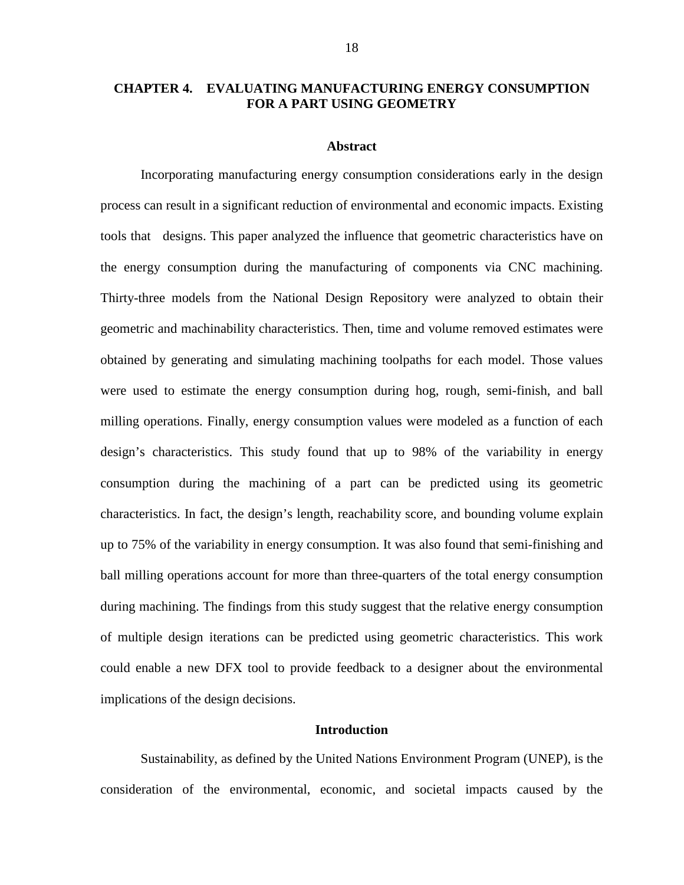# <span id="page-25-0"></span>**CHAPTER 4. EVALUATING MANUFACTURING ENERGY CONSUMPTION FOR A PART USING GEOMETRY**

### **Abstract**

<span id="page-25-1"></span>Incorporating manufacturing energy consumption considerations early in the design process can result in a significant reduction of environmental and economic impacts. Existing tools that designs. This paper analyzed the influence that geometric characteristics have on the energy consumption during the manufacturing of components via CNC machining. Thirty-three models from the National Design Repository were analyzed to obtain their geometric and machinability characteristics. Then, time and volume removed estimates were obtained by generating and simulating machining toolpaths for each model. Those values were used to estimate the energy consumption during hog, rough, semi-finish, and ball milling operations. Finally, energy consumption values were modeled as a function of each design's characteristics. This study found that up to 98% of the variability in energy consumption during the machining of a part can be predicted using its geometric characteristics. In fact, the design's length, reachability score, and bounding volume explain up to 75% of the variability in energy consumption. It was also found that semi-finishing and ball milling operations account for more than three-quarters of the total energy consumption during machining. The findings from this study suggest that the relative energy consumption of multiple design iterations can be predicted using geometric characteristics. This work could enable a new DFX tool to provide feedback to a designer about the environmental implications of the design decisions.

### **Introduction**

<span id="page-25-2"></span>Sustainability, as defined by the United Nations Environment Program (UNEP), is the consideration of the environmental, economic, and societal impacts caused by the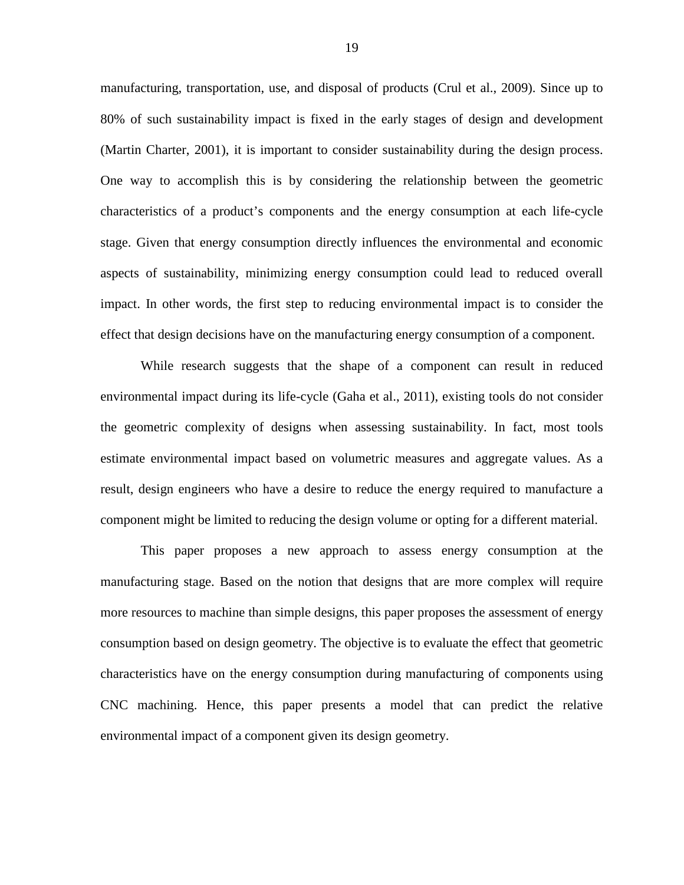manufacturing, transportation, use, and disposal of products (Crul et al., 2009). Since up to 80% of such sustainability impact is fixed in the early stages of design and development (Martin Charter, 2001), it is important to consider sustainability during the design process. One way to accomplish this is by considering the relationship between the geometric characteristics of a product's components and the energy consumption at each life-cycle stage. Given that energy consumption directly influences the environmental and economic aspects of sustainability, minimizing energy consumption could lead to reduced overall impact. In other words, the first step to reducing environmental impact is to consider the effect that design decisions have on the manufacturing energy consumption of a component.

While research suggests that the shape of a component can result in reduced environmental impact during its life-cycle (Gaha et al., 2011), existing tools do not consider the geometric complexity of designs when assessing sustainability. In fact, most tools estimate environmental impact based on volumetric measures and aggregate values. As a result, design engineers who have a desire to reduce the energy required to manufacture a component might be limited to reducing the design volume or opting for a different material.

This paper proposes a new approach to assess energy consumption at the manufacturing stage. Based on the notion that designs that are more complex will require more resources to machine than simple designs, this paper proposes the assessment of energy consumption based on design geometry. The objective is to evaluate the effect that geometric characteristics have on the energy consumption during manufacturing of components using CNC machining. Hence, this paper presents a model that can predict the relative environmental impact of a component given its design geometry.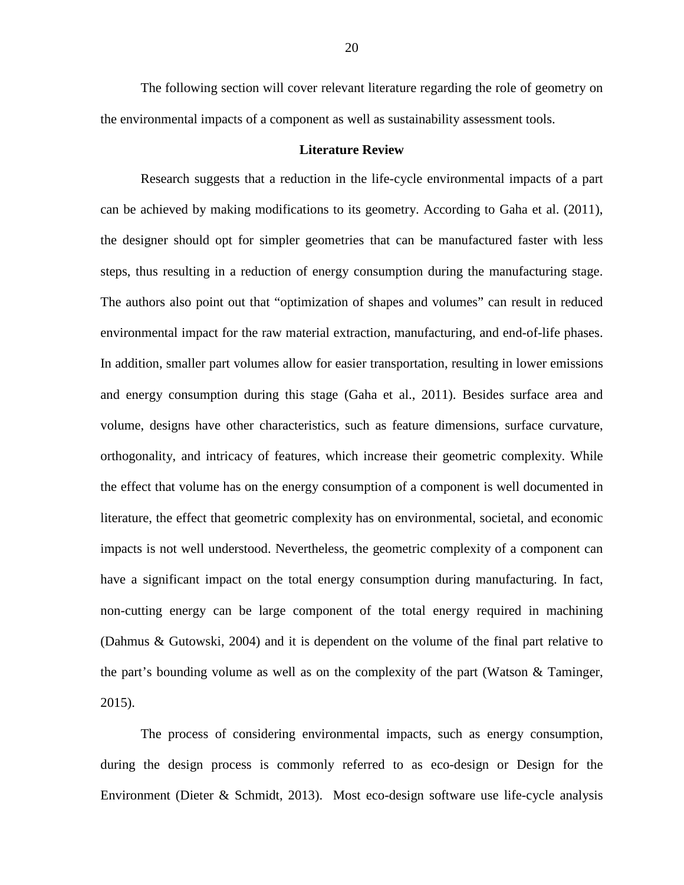The following section will cover relevant literature regarding the role of geometry on the environmental impacts of a component as well as sustainability assessment tools.

# **Literature Review**

<span id="page-27-0"></span>Research suggests that a reduction in the life-cycle environmental impacts of a part can be achieved by making modifications to its geometry. According to Gaha et al. (2011), the designer should opt for simpler geometries that can be manufactured faster with less steps, thus resulting in a reduction of energy consumption during the manufacturing stage. The authors also point out that "optimization of shapes and volumes" can result in reduced environmental impact for the raw material extraction, manufacturing, and end-of-life phases. In addition, smaller part volumes allow for easier transportation, resulting in lower emissions and energy consumption during this stage (Gaha et al., 2011). Besides surface area and volume, designs have other characteristics, such as feature dimensions, surface curvature, orthogonality, and intricacy of features, which increase their geometric complexity. While the effect that volume has on the energy consumption of a component is well documented in literature, the effect that geometric complexity has on environmental, societal, and economic impacts is not well understood. Nevertheless, the geometric complexity of a component can have a significant impact on the total energy consumption during manufacturing. In fact, non-cutting energy can be large component of the total energy required in machining (Dahmus & Gutowski, 2004) and it is dependent on the volume of the final part relative to the part's bounding volume as well as on the complexity of the part (Watson & Taminger, 2015).

The process of considering environmental impacts, such as energy consumption, during the design process is commonly referred to as eco-design or Design for the Environment (Dieter & Schmidt, 2013). Most eco-design software use life-cycle analysis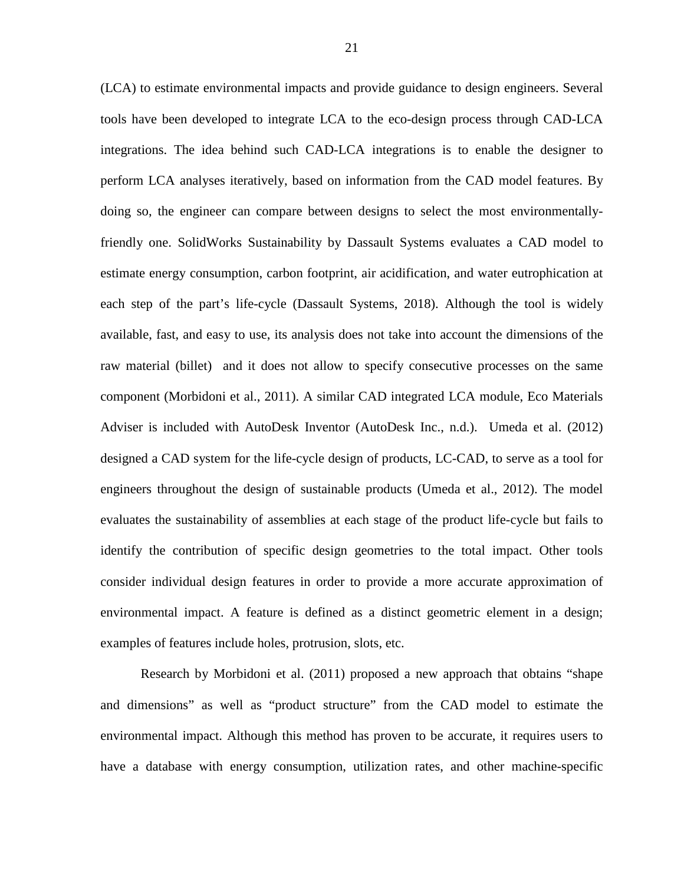(LCA) to estimate environmental impacts and provide guidance to design engineers. Several tools have been developed to integrate LCA to the eco-design process through CAD-LCA integrations. The idea behind such CAD-LCA integrations is to enable the designer to perform LCA analyses iteratively, based on information from the CAD model features. By doing so, the engineer can compare between designs to select the most environmentallyfriendly one. SolidWorks Sustainability by Dassault Systems evaluates a CAD model to estimate energy consumption, carbon footprint, air acidification, and water eutrophication at each step of the part's life-cycle (Dassault Systems, 2018). Although the tool is widely available, fast, and easy to use, its analysis does not take into account the dimensions of the raw material (billet) and it does not allow to specify consecutive processes on the same component (Morbidoni et al., 2011). A similar CAD integrated LCA module, Eco Materials Adviser is included with AutoDesk Inventor (AutoDesk Inc., n.d.). Umeda et al. (2012) designed a CAD system for the life-cycle design of products, LC-CAD, to serve as a tool for engineers throughout the design of sustainable products (Umeda et al., 2012). The model evaluates the sustainability of assemblies at each stage of the product life-cycle but fails to identify the contribution of specific design geometries to the total impact. Other tools consider individual design features in order to provide a more accurate approximation of environmental impact. A feature is defined as a distinct geometric element in a design; examples of features include holes, protrusion, slots, etc.

Research by Morbidoni et al. (2011) proposed a new approach that obtains "shape and dimensions" as well as "product structure" from the CAD model to estimate the environmental impact. Although this method has proven to be accurate, it requires users to have a database with energy consumption, utilization rates, and other machine-specific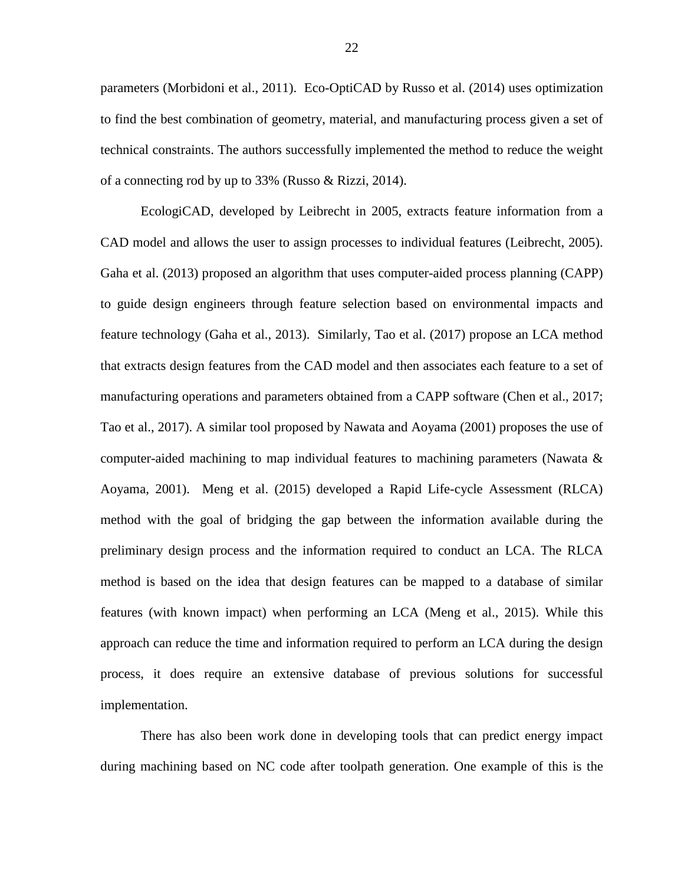parameters (Morbidoni et al., 2011). Eco-OptiCAD by Russo et al. (2014) uses optimization to find the best combination of geometry, material, and manufacturing process given a set of technical constraints. The authors successfully implemented the method to reduce the weight of a connecting rod by up to 33% (Russo & Rizzi, 2014).

EcologiCAD, developed by Leibrecht in 2005, extracts feature information from a CAD model and allows the user to assign processes to individual features (Leibrecht, 2005). Gaha et al. (2013) proposed an algorithm that uses computer-aided process planning (CAPP) to guide design engineers through feature selection based on environmental impacts and feature technology (Gaha et al., 2013). Similarly, Tao et al. (2017) propose an LCA method that extracts design features from the CAD model and then associates each feature to a set of manufacturing operations and parameters obtained from a CAPP software (Chen et al., 2017; Tao et al., 2017). A similar tool proposed by Nawata and Aoyama (2001) proposes the use of computer-aided machining to map individual features to machining parameters (Nawata & Aoyama, 2001). Meng et al. (2015) developed a Rapid Life-cycle Assessment (RLCA) method with the goal of bridging the gap between the information available during the preliminary design process and the information required to conduct an LCA. The RLCA method is based on the idea that design features can be mapped to a database of similar features (with known impact) when performing an LCA (Meng et al., 2015). While this approach can reduce the time and information required to perform an LCA during the design process, it does require an extensive database of previous solutions for successful implementation.

There has also been work done in developing tools that can predict energy impact during machining based on NC code after toolpath generation. One example of this is the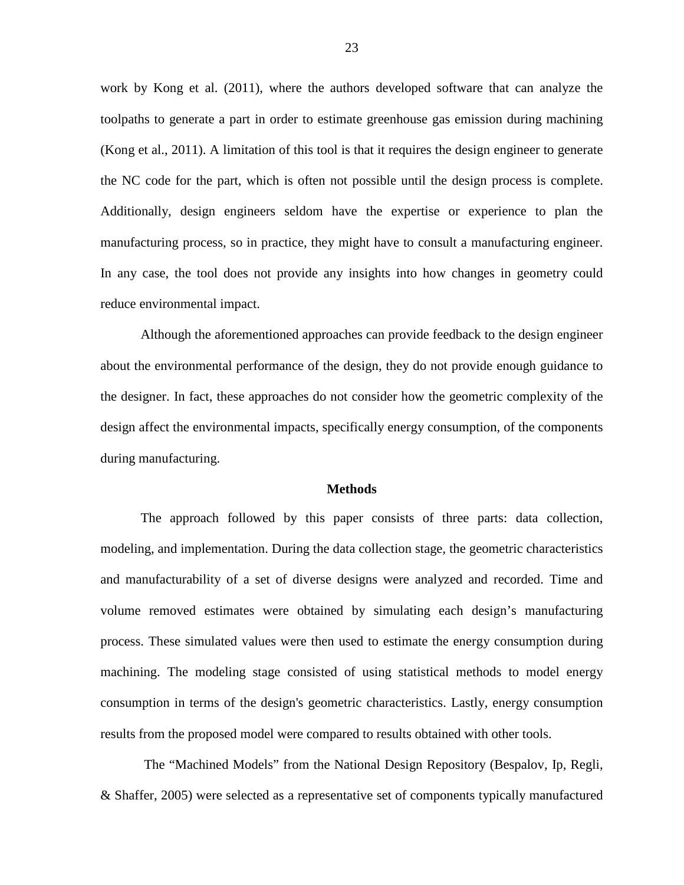work by Kong et al. (2011), where the authors developed software that can analyze the toolpaths to generate a part in order to estimate greenhouse gas emission during machining (Kong et al., 2011). A limitation of this tool is that it requires the design engineer to generate the NC code for the part, which is often not possible until the design process is complete. Additionally, design engineers seldom have the expertise or experience to plan the manufacturing process, so in practice, they might have to consult a manufacturing engineer. In any case, the tool does not provide any insights into how changes in geometry could reduce environmental impact.

Although the aforementioned approaches can provide feedback to the design engineer about the environmental performance of the design, they do not provide enough guidance to the designer. In fact, these approaches do not consider how the geometric complexity of the design affect the environmental impacts, specifically energy consumption, of the components during manufacturing.

#### **Methods**

<span id="page-30-0"></span>The approach followed by this paper consists of three parts: data collection, modeling, and implementation. During the data collection stage, the geometric characteristics and manufacturability of a set of diverse designs were analyzed and recorded. Time and volume removed estimates were obtained by simulating each design's manufacturing process. These simulated values were then used to estimate the energy consumption during machining. The modeling stage consisted of using statistical methods to model energy consumption in terms of the design's geometric characteristics. Lastly, energy consumption results from the proposed model were compared to results obtained with other tools.

The "Machined Models" from the National Design Repository (Bespalov, Ip, Regli, & Shaffer, 2005) were selected as a representative set of components typically manufactured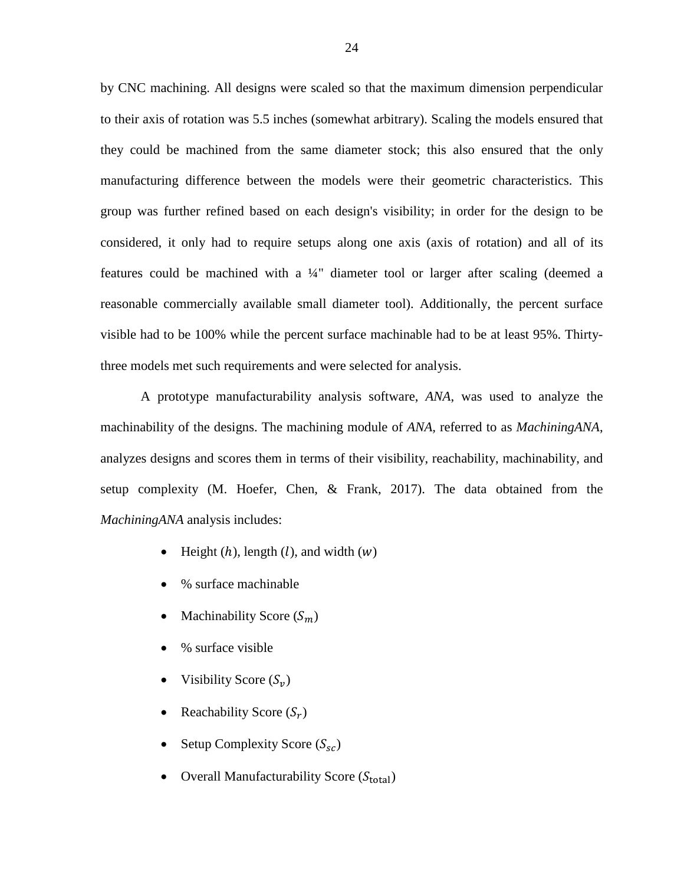by CNC machining. All designs were scaled so that the maximum dimension perpendicular to their axis of rotation was 5.5 inches (somewhat arbitrary). Scaling the models ensured that they could be machined from the same diameter stock; this also ensured that the only manufacturing difference between the models were their geometric characteristics. This group was further refined based on each design's visibility; in order for the design to be considered, it only had to require setups along one axis (axis of rotation) and all of its features could be machined with a ¼" diameter tool or larger after scaling (deemed a reasonable commercially available small diameter tool). Additionally, the percent surface visible had to be 100% while the percent surface machinable had to be at least 95%. Thirtythree models met such requirements and were selected for analysis.

A prototype manufacturability analysis software, *ANA*, was used to analyze the machinability of the designs. The machining module of *ANA,* referred to as *MachiningANA*, analyzes designs and scores them in terms of their visibility, reachability, machinability, and setup complexity (M. Hoefer, Chen, & Frank, 2017). The data obtained from the *MachiningANA* analysis includes:

- Height  $(h)$ , length  $(l)$ , and width  $(w)$
- % surface machinable
- Machinability Score  $(S_m)$
- % surface visible
- Visibility Score  $(S_v)$
- Reachability Score  $(S_r)$
- Setup Complexity Score  $(S_{sc})$
- Overall Manufacturability Score  $(S_{total})$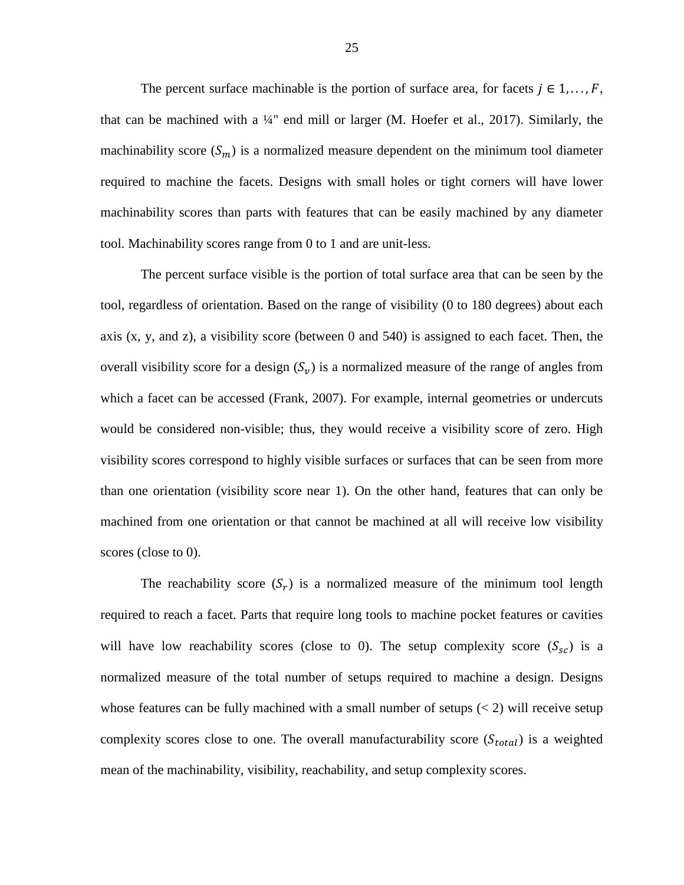The percent surface machinable is the portion of surface area, for facets  $j \in 1, ..., F$ , that can be machined with a  $\frac{1}{4}$ " end mill or larger (M. Hoefer et al., 2017). Similarly, the machinability score  $(S_m)$  is a normalized measure dependent on the minimum tool diameter required to machine the facets. Designs with small holes or tight corners will have lower machinability scores than parts with features that can be easily machined by any diameter tool. Machinability scores range from 0 to 1 and are unit-less.

The percent surface visible is the portion of total surface area that can be seen by the tool, regardless of orientation. Based on the range of visibility (0 to 180 degrees) about each axis (x, y, and z), a visibility score (between 0 and 540) is assigned to each facet. Then, the overall visibility score for a design  $(S_v)$  is a normalized measure of the range of angles from which a facet can be accessed (Frank, 2007). For example, internal geometries or undercuts would be considered non-visible; thus, they would receive a visibility score of zero. High visibility scores correspond to highly visible surfaces or surfaces that can be seen from more than one orientation (visibility score near 1). On the other hand, features that can only be machined from one orientation or that cannot be machined at all will receive low visibility scores (close to 0).

The reachability score  $(S_r)$  is a normalized measure of the minimum tool length required to reach a facet. Parts that require long tools to machine pocket features or cavities will have low reachability scores (close to 0). The setup complexity score  $(S_{sc})$  is a normalized measure of the total number of setups required to machine a design. Designs whose features can be fully machined with a small number of setups  $(< 2)$  will receive setup complexity scores close to one. The overall manufacturability score  $(S_{total})$  is a weighted mean of the machinability, visibility, reachability, and setup complexity scores.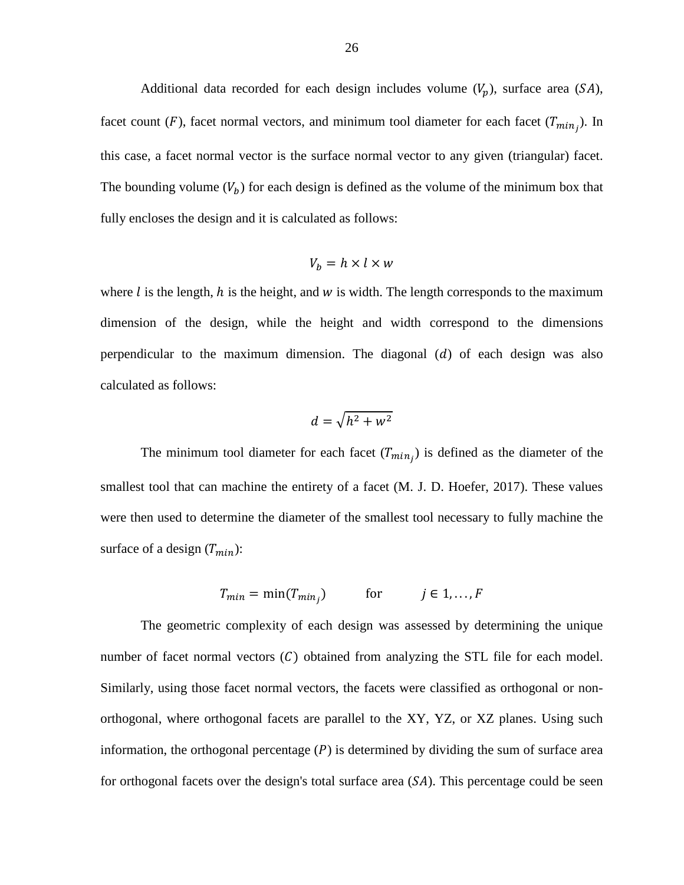Additional data recorded for each design includes volume  $(V_p)$ , surface area  $(SA)$ , facet count (F), facet normal vectors, and minimum tool diameter for each facet  $(T_{min_j})$ . In this case, a facet normal vector is the surface normal vector to any given (triangular) facet. The bounding volume  $(V_b)$  for each design is defined as the volume of the minimum box that fully encloses the design and it is calculated as follows:

$$
V_b = h \times l \times w
$$

where  $\ell$  is the length,  $h$  is the height, and  $w$  is width. The length corresponds to the maximum dimension of the design, while the height and width correspond to the dimensions perpendicular to the maximum dimension. The diagonal  $(d)$  of each design was also calculated as follows:

$$
d=\sqrt{h^2+w^2}
$$

The minimum tool diameter for each facet  $(T_{min_j})$  is defined as the diameter of the smallest tool that can machine the entirety of a facet (M. J. D. Hoefer, 2017). These values were then used to determine the diameter of the smallest tool necessary to fully machine the surface of a design  $(T_{min})$ :

$$
T_{min} = \min(T_{min_j}) \qquad \text{for} \qquad j \in 1, ..., F
$$

The geometric complexity of each design was assessed by determining the unique number of facet normal vectors  $(C)$  obtained from analyzing the STL file for each model. Similarly, using those facet normal vectors, the facets were classified as orthogonal or nonorthogonal, where orthogonal facets are parallel to the XY, YZ, or XZ planes. Using such information, the orthogonal percentage  $(P)$  is determined by dividing the sum of surface area for orthogonal facets over the design's total surface area  $(S<sub>A</sub>)$ . This percentage could be seen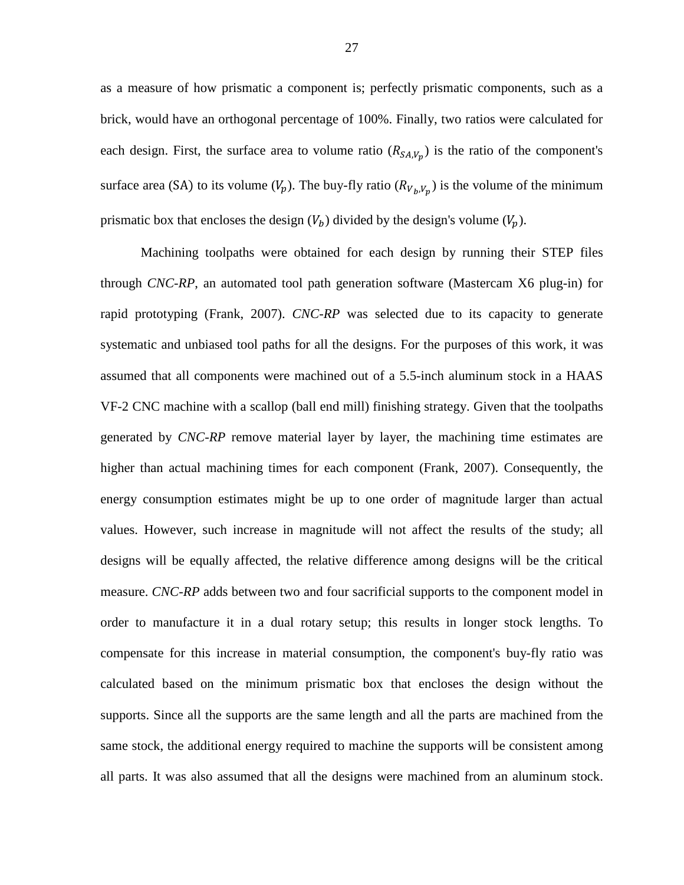as a measure of how prismatic a component is; perfectly prismatic components, such as a brick, would have an orthogonal percentage of 100%. Finally, two ratios were calculated for each design. First, the surface area to volume ratio  $(R_{SA,V_p})$  is the ratio of the component's surface area (SA) to its volume  $(V_p)$ . The buy-fly ratio  $(R_{V_p,V_p})$  is the volume of the minimum prismatic box that encloses the design  $(V_b)$  divided by the design's volume  $(V_p)$ .

Machining toolpaths were obtained for each design by running their STEP files through *CNC-RP*, an automated tool path generation software (Mastercam X6 plug-in) for rapid prototyping (Frank, 2007). *CNC-RP* was selected due to its capacity to generate systematic and unbiased tool paths for all the designs. For the purposes of this work, it was assumed that all components were machined out of a 5.5-inch aluminum stock in a HAAS VF-2 CNC machine with a scallop (ball end mill) finishing strategy. Given that the toolpaths generated by *CNC-RP* remove material layer by layer, the machining time estimates are higher than actual machining times for each component (Frank, 2007). Consequently, the energy consumption estimates might be up to one order of magnitude larger than actual values. However, such increase in magnitude will not affect the results of the study; all designs will be equally affected, the relative difference among designs will be the critical measure. *CNC-RP* adds between two and four sacrificial supports to the component model in order to manufacture it in a dual rotary setup; this results in longer stock lengths. To compensate for this increase in material consumption, the component's buy-fly ratio was calculated based on the minimum prismatic box that encloses the design without the supports. Since all the supports are the same length and all the parts are machined from the same stock, the additional energy required to machine the supports will be consistent among all parts. It was also assumed that all the designs were machined from an aluminum stock.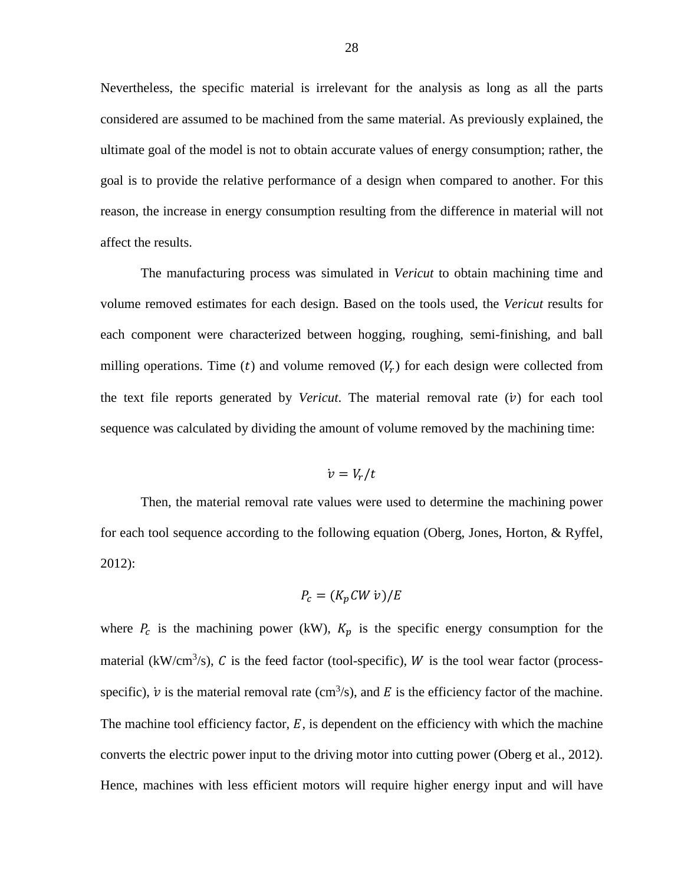Nevertheless, the specific material is irrelevant for the analysis as long as all the parts considered are assumed to be machined from the same material. As previously explained, the ultimate goal of the model is not to obtain accurate values of energy consumption; rather, the goal is to provide the relative performance of a design when compared to another. For this reason, the increase in energy consumption resulting from the difference in material will not affect the results.

The manufacturing process was simulated in *Vericut* to obtain machining time and volume removed estimates for each design. Based on the tools used, the *Vericut* results for each component were characterized between hogging, roughing, semi-finishing, and ball milling operations. Time (t) and volume removed  $(V_r)$  for each design were collected from the text file reports generated by *Vericut*. The material removal rate  $(v)$  for each tool sequence was calculated by dividing the amount of volume removed by the machining time:

$$
\dot{v}=V_r/t
$$

Then, the material removal rate values were used to determine the machining power for each tool sequence according to the following equation (Oberg, Jones, Horton, & Ryffel, 2012):

$$
P_c = (K_p C W \nu) / E
$$

where  $P_c$  is the machining power (kW),  $K_p$  is the specific energy consumption for the material (kW/cm<sup>3</sup>/s), C is the feed factor (tool-specific), W is the tool wear factor (processspecific),  $\dot{v}$  is the material removal rate (cm<sup>3</sup>/s), and E is the efficiency factor of the machine. The machine tool efficiency factor,  $E$ , is dependent on the efficiency with which the machine converts the electric power input to the driving motor into cutting power (Oberg et al., 2012). Hence, machines with less efficient motors will require higher energy input and will have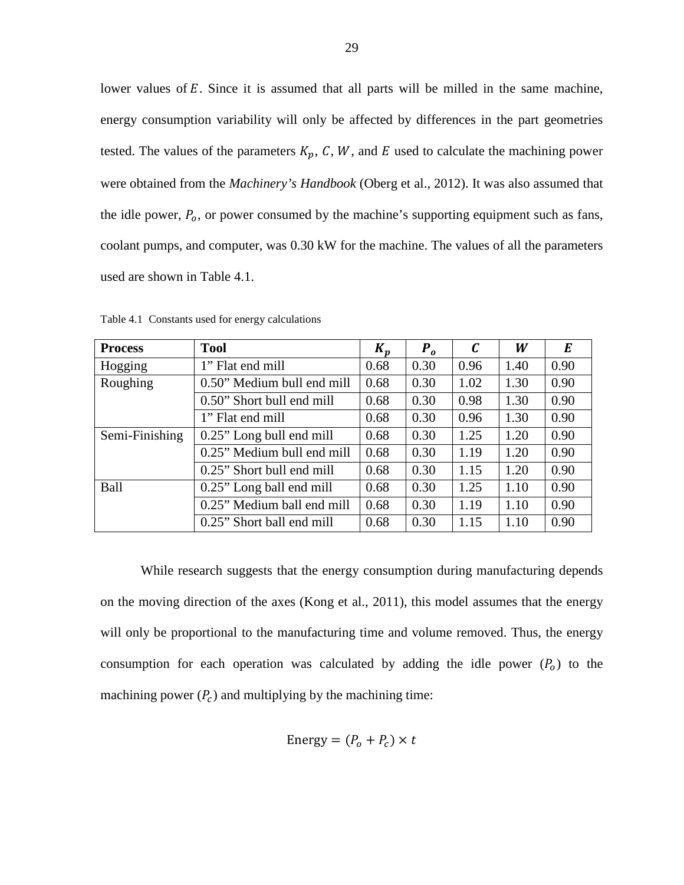lower values of  $E$ . Since it is assumed that all parts will be milled in the same machine, energy consumption variability will only be affected by differences in the part geometries tested. The values of the parameters  $K_p$ , C, W, and E used to calculate the machining power were obtained from the *Machinery's Handbook* (Oberg et al., 2012). It was also assumed that the idle power,  $P_0$ , or power consumed by the machine's supporting equipment such as fans, coolant pumps, and computer, was 0.30 kW for the machine. The values of all the parameters used are shown in [Table 4.1.](#page-36-0)

| <b>Process</b> | <b>Tool</b>                        | $K_p$ | $P_{\alpha}$ | $\mathcal C$ | W    | E    |
|----------------|------------------------------------|-------|--------------|--------------|------|------|
| Hogging        | 1" Flat end mill                   | 0.68  | 0.30         | 0.96         | 1.40 | 0.90 |
| Roughing       | 0.68<br>0.50" Medium bull end mill |       | 0.30         | 1.02         | 1.30 | 0.90 |
|                | 0.50" Short bull end mill          | 0.68  | 0.30         | 0.98         | 1.30 | 0.90 |
|                | 1" Flat end mill                   | 0.68  | 0.30         | 0.96         | 1.30 | 0.90 |
| Semi-Finishing | 0.25" Long bull end mill           | 0.68  | 0.30         | 1.25         | 1.20 | 0.90 |
|                | 0.25" Medium bull end mill         | 0.68  | 0.30         | 1.19         | 1.20 | 0.90 |
|                | 0.25" Short bull end mill          | 0.68  | 0.30         | 1.15         | 1.20 | 0.90 |
| Ball           | 0.25" Long ball end mill           | 0.68  | 0.30         | 1.25         | 1.10 | 0.90 |
|                | 0.25" Medium ball end mill         | 0.68  | 0.30         | 1.19         | 1.10 | 0.90 |
|                | 0.25" Short ball end mill          | 0.68  | 0.30         | 1.15         | 1.10 | 0.90 |

<span id="page-36-0"></span>Table 4.1 Constants used for energy calculations

While research suggests that the energy consumption during manufacturing depends on the moving direction of the axes (Kong et al., 2011), this model assumes that the energy will only be proportional to the manufacturing time and volume removed. Thus, the energy consumption for each operation was calculated by adding the idle power  $(P_0)$  to the machining power  $(P_c)$  and multiplying by the machining time:

Energy = 
$$
(P_o + P_c) \times t
$$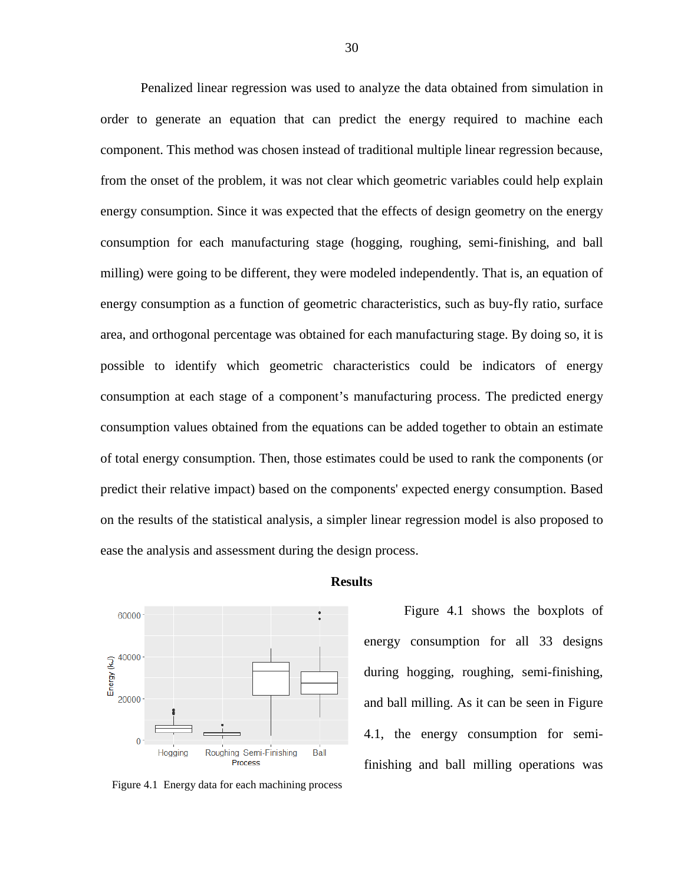Penalized linear regression was used to analyze the data obtained from simulation in order to generate an equation that can predict the energy required to machine each component. This method was chosen instead of traditional multiple linear regression because, from the onset of the problem, it was not clear which geometric variables could help explain energy consumption. Since it was expected that the effects of design geometry on the energy consumption for each manufacturing stage (hogging, roughing, semi-finishing, and ball milling) were going to be different, they were modeled independently. That is, an equation of energy consumption as a function of geometric characteristics, such as buy-fly ratio, surface area, and orthogonal percentage was obtained for each manufacturing stage. By doing so, it is possible to identify which geometric characteristics could be indicators of energy consumption at each stage of a component's manufacturing process. The predicted energy consumption values obtained from the equations can be added together to obtain an estimate of total energy consumption. Then, those estimates could be used to rank the components (or predict their relative impact) based on the components' expected energy consumption. Based on the results of the statistical analysis, a simpler linear regression model is also proposed to ease the analysis and assessment during the design process.

<span id="page-37-0"></span>

### **Results**

<span id="page-37-1"></span>Figure 4.1 Energy data for each machining process

[Figure 4.1](#page-37-1) shows the boxplots of energy consumption for all 33 designs during hogging, roughing, semi-finishing, and ball milling. As it can be seen in [Figure](#page-37-1)  [4.1,](#page-37-1) the energy consumption for semifinishing and ball milling operations was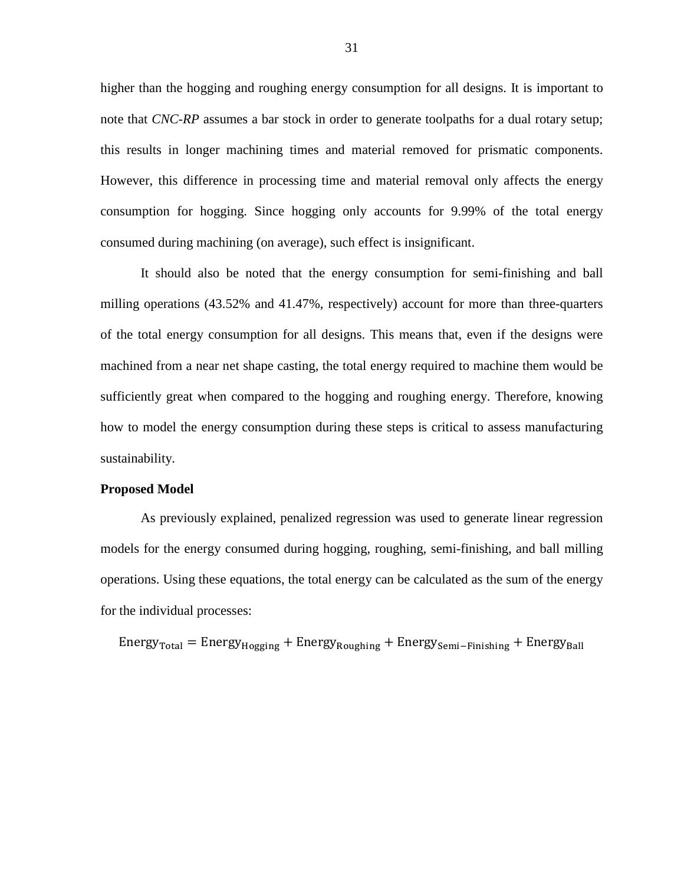higher than the hogging and roughing energy consumption for all designs. It is important to note that *CNC-RP* assumes a bar stock in order to generate toolpaths for a dual rotary setup; this results in longer machining times and material removed for prismatic components. However, this difference in processing time and material removal only affects the energy consumption for hogging. Since hogging only accounts for 9.99% of the total energy consumed during machining (on average), such effect is insignificant.

It should also be noted that the energy consumption for semi-finishing and ball milling operations (43.52% and 41.47%, respectively) account for more than three-quarters of the total energy consumption for all designs. This means that, even if the designs were machined from a near net shape casting, the total energy required to machine them would be sufficiently great when compared to the hogging and roughing energy. Therefore, knowing how to model the energy consumption during these steps is critical to assess manufacturing sustainability.

## <span id="page-38-0"></span>**Proposed Model**

As previously explained, penalized regression was used to generate linear regression models for the energy consumed during hogging, roughing, semi-finishing, and ball milling operations. Using these equations, the total energy can be calculated as the sum of the energy for the individual processes:

 $Energy_{Total} = Energy_{Hogging} + Energy_{Roughing} + Energy_{Roughing} + Energy_{Semi-Finishing} + Energy_{Ball}$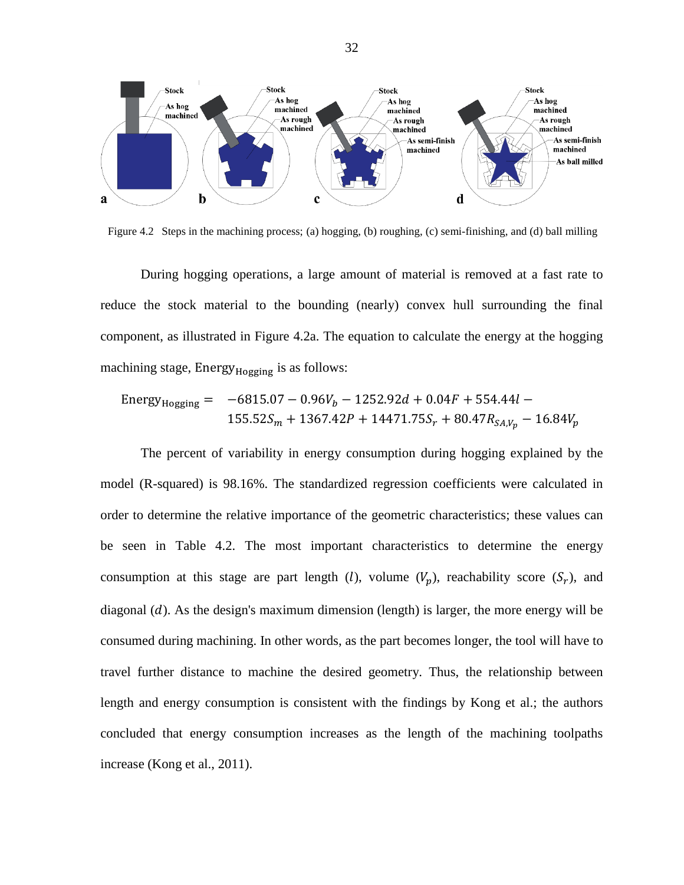

<span id="page-39-0"></span>Figure 4.2 Steps in the machining process; (a) hogging, (b) roughing, (c) semi-finishing, and (d) ball milling

During hogging operations, a large amount of material is removed at a fast rate to reduce the stock material to the bounding (nearly) convex hull surrounding the final component, as illustrated in [Figure 4.2a](#page-39-0). The equation to calculate the energy at the hogging machining stage, Energy $_{Ho$ gging is as follows:

Energy<sub>Hogging</sub> = 
$$
-6815.07 - 0.96V_b - 1252.92d + 0.04F + 554.44l -
$$
  
155.52 $S_m$  + 1367.42 $P$  + 14471.75 $S_r$  + 80.47 $R_{SA,V_p}$  - 16.84 $V_p$ 

<span id="page-39-1"></span>The percent of variability in energy consumption during hogging explained by the model (R-squared) is 98.16%. The standardized regression coefficients were calculated in order to determine the relative importance of the geometric characteristics; these values can be seen in [Table 4.2.](#page-39-1) The most important characteristics to determine the energy consumption at this stage are part length (*l*), volume  $(V_n)$ , reachability score  $(S_r)$ , and diagonal  $(d)$ . As the design's maximum dimension (length) is larger, the more energy will be consumed during machining. In other words, as the part becomes longer, the tool will have to travel further distance to machine the desired geometry. Thus, the relationship between length and energy consumption is consistent with the findings by Kong et al.; the authors concluded that energy consumption increases as the length of the machining toolpaths increase (Kong et al., 2011).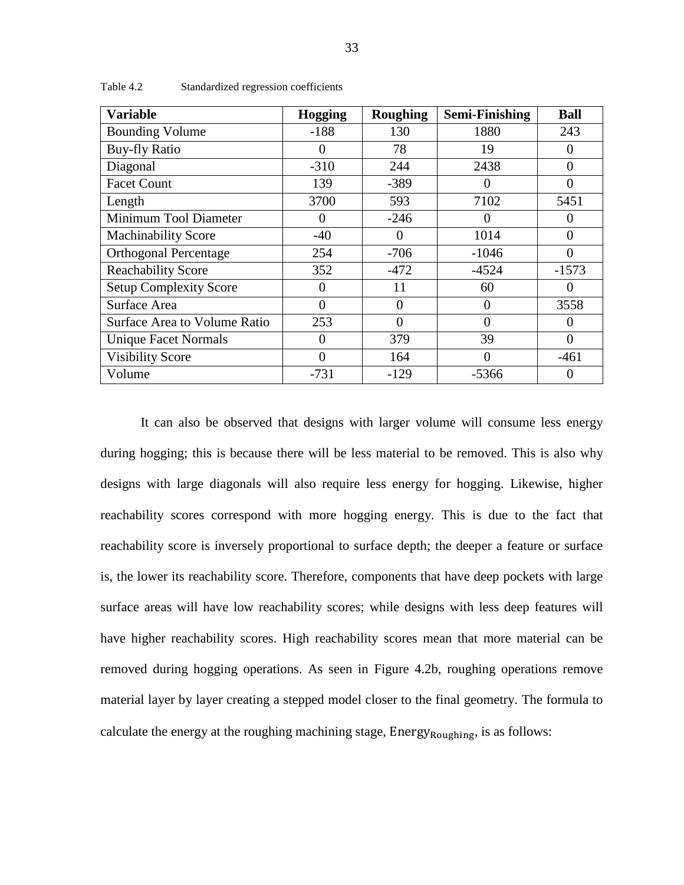| <b>Variable</b>               | <b>Hogging</b> | <b>Roughing</b> | <b>Semi-Finishing</b> | <b>Ball</b> |
|-------------------------------|----------------|-----------------|-----------------------|-------------|
| <b>Bounding Volume</b>        | $-188$         | 130             | 1880                  | 243         |
| <b>Buy-fly Ratio</b>          | $\theta$       | 78              | 19                    | $\theta$    |
| Diagonal                      | $-310$         | 244             | 2438                  | $\theta$    |
| <b>Facet Count</b>            | 139            | $-389$          |                       | $\Omega$    |
| Length                        | 3700           | 593             | 7102                  | 5451        |
| Minimum Tool Diameter         | $\Omega$       | $-246$          | 0                     | $\Omega$    |
| <b>Machinability Score</b>    | $-40$          | 0               | 1014                  | 0           |
| <b>Orthogonal Percentage</b>  | 254            | $-706$          | $-1046$               | $\Omega$    |
| <b>Reachability Score</b>     | 352            | $-472$          | $-4524$               | $-1573$     |
| <b>Setup Complexity Score</b> | $\theta$       | 11              | 60                    | $\theta$    |
| Surface Area                  | $\Omega$       | 0               | 0                     | 3558        |
| Surface Area to Volume Ratio  | 253            | $\theta$        | $\theta$              | $\theta$    |
| <b>Unique Facet Normals</b>   | $\Omega$       | 379             | 39                    | $\Omega$    |
| <b>Visibility Score</b>       | $\theta$       | 164             | 0                     | $-461$      |
| Volume                        | $-731$         | $-129$          | $-5366$               | $\Omega$    |

<span id="page-40-0"></span>Table 4.2 Standardized regression coefficients

It can also be observed that designs with larger volume will consume less energy during hogging; this is because there will be less material to be removed. This is also why designs with large diagonals will also require less energy for hogging. Likewise, higher reachability scores correspond with more hogging energy. This is due to the fact that reachability score is inversely proportional to surface depth; the deeper a feature or surface is, the lower its reachability score. Therefore, components that have deep pockets with large surface areas will have low reachability scores; while designs with less deep features will have higher reachability scores. High reachability scores mean that more material can be removed during hogging operations. As seen in [Figure 4.2b](#page-39-0), roughing operations remove material layer by layer creating a stepped model closer to the final geometry. The formula to calculate the energy at the roughing machining stage, Energy<sub>Roughing</sub>, is as follows: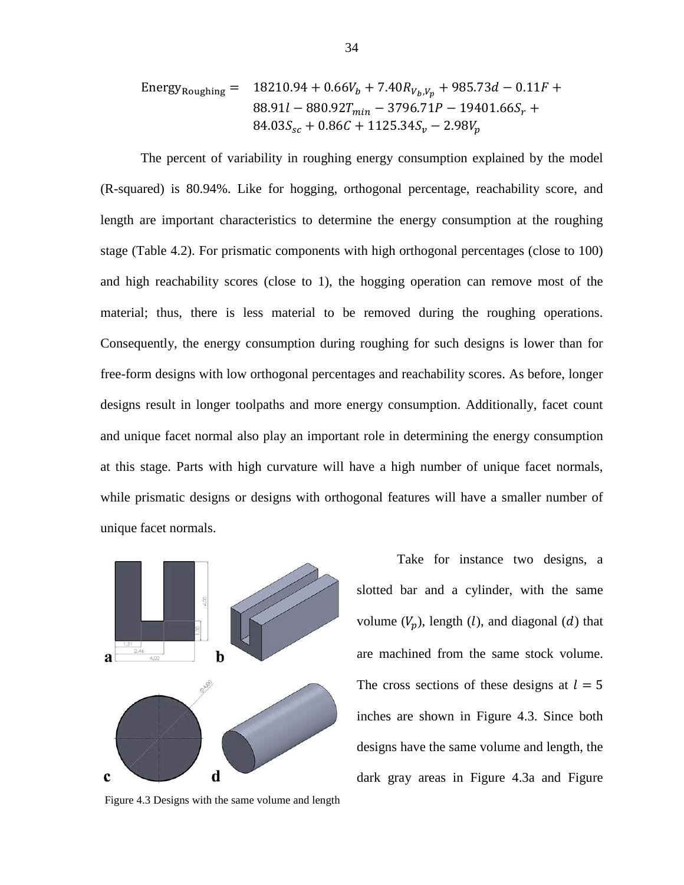Energy<sub>Roughing</sub> = 
$$
18210.94 + 0.66V_b + 7.40R_{V_b,V_p} + 985.73d - 0.11F + 880.91l - 880.92T_{min} - 3796.71P - 19401.66S_r + 84.03S_{sc} + 0.86C + 1125.34S_v - 2.98V_p
$$

The percent of variability in roughing energy consumption explained by the model (R-squared) is 80.94%. Like for hogging, orthogonal percentage, reachability score, and length are important characteristics to determine the energy consumption at the roughing stage [\(Table 4.2\)](#page-39-1). For prismatic components with high orthogonal percentages (close to 100) and high reachability scores (close to 1), the hogging operation can remove most of the material; thus, there is less material to be removed during the roughing operations. Consequently, the energy consumption during roughing for such designs is lower than for free-form designs with low orthogonal percentages and reachability scores. As before, longer designs result in longer toolpaths and more energy consumption. Additionally, facet count and unique facet normal also play an important role in determining the energy consumption at this stage. Parts with high curvature will have a high number of unique facet normals, while prismatic designs or designs with orthogonal features will have a smaller number of unique facet normals.



<span id="page-41-0"></span>Figure 4.3 Designs with the same volume and length

Take for instance two designs, a slotted bar and a cylinder, with the same volume  $(V_n)$ , length  $(l)$ , and diagonal  $(d)$  that are machined from the same stock volume. The cross sections of these designs at  $l = 5$ inches are shown in [Figure 4.3.](#page-41-0) Since both designs have the same volume and length, the dark gray areas in [Figure 4.3a](#page-41-0) and [Figure](#page-41-0)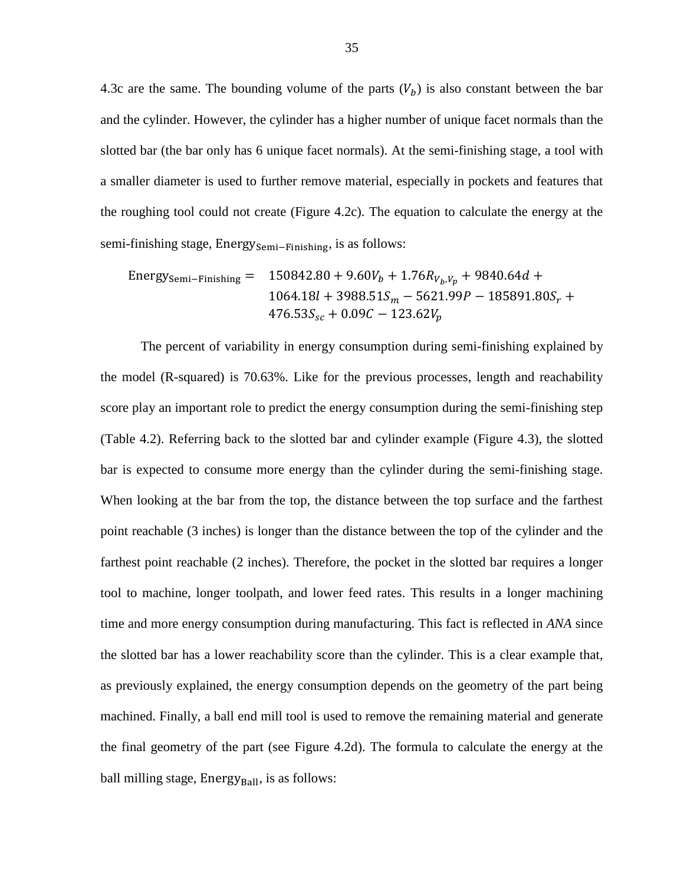[4.3c](#page-41-0) are the same. The bounding volume of the parts  $(V_b)$  is also constant between the bar and the cylinder. However, the cylinder has a higher number of unique facet normals than the slotted bar (the bar only has 6 unique facet normals). At the semi-finishing stage, a tool with a smaller diameter is used to further remove material, especially in pockets and features that the roughing tool could not create [\(Figure 4.2c](#page-39-0)). The equation to calculate the energy at the semi-finishing stage, Energy<sub>Semi–Finishing</sub>, is as follows:

Energy<sub>semi-Finishing</sub> = 
$$
150842.80 + 9.60V_b + 1.76R_{V_b,V_p} + 9840.64d + 1064.18l + 3988.51S_m - 5621.99P - 185891.80S_r + 476.53S_{sc} + 0.09C - 123.62V_p
$$

The percent of variability in energy consumption during semi-finishing explained by the model (R-squared) is 70.63%. Like for the previous processes, length and reachability score play an important role to predict the energy consumption during the semi-finishing step [\(Table 4.2\)](#page-39-1). Referring back to the slotted bar and cylinder example [\(Figure 4.3\)](#page-41-0), the slotted bar is expected to consume more energy than the cylinder during the semi-finishing stage. When looking at the bar from the top, the distance between the top surface and the farthest point reachable (3 inches) is longer than the distance between the top of the cylinder and the farthest point reachable (2 inches). Therefore, the pocket in the slotted bar requires a longer tool to machine, longer toolpath, and lower feed rates. This results in a longer machining time and more energy consumption during manufacturing. This fact is reflected in *ANA* since the slotted bar has a lower reachability score than the cylinder. This is a clear example that, as previously explained, the energy consumption depends on the geometry of the part being machined. Finally, a ball end mill tool is used to remove the remaining material and generate the final geometry of the part (see [Figure 4.2d](#page-39-0)). The formula to calculate the energy at the ball milling stage,  $Energy<sub>Ball</sub>$ , is as follows: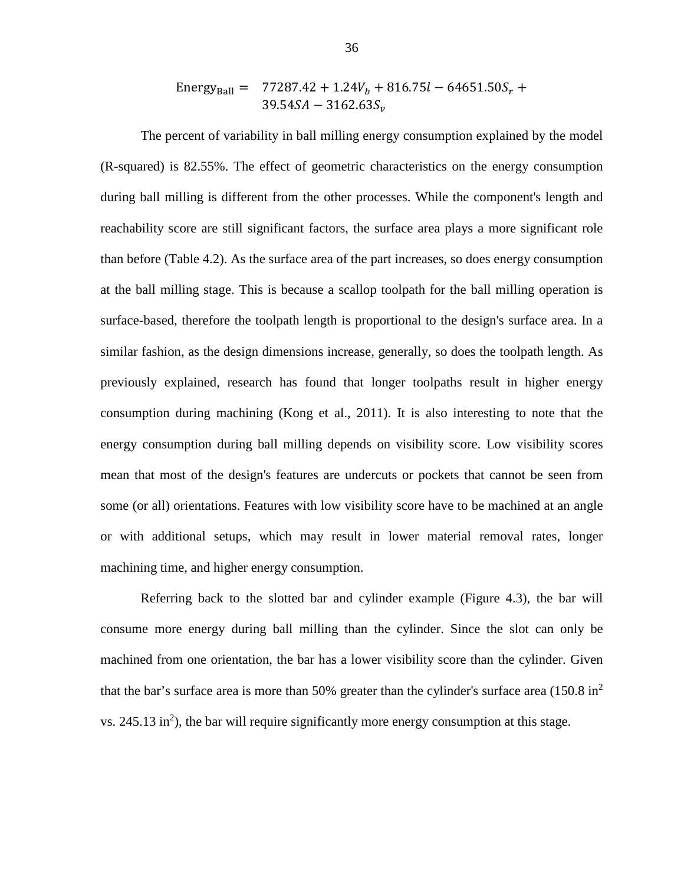Energy<sub>Ball</sub> = 77287.42 + 1.24
$$
V_b
$$
 + 816.75 $l$  – 64651.50 $S_r$  +  
39.54 $SA$  – 3162.63 $S_v$ 

The percent of variability in ball milling energy consumption explained by the model (R-squared) is 82.55%. The effect of geometric characteristics on the energy consumption during ball milling is different from the other processes. While the component's length and reachability score are still significant factors, the surface area plays a more significant role than before [\(Table 4.2\)](#page-39-1). As the surface area of the part increases, so does energy consumption at the ball milling stage. This is because a scallop toolpath for the ball milling operation is surface-based, therefore the toolpath length is proportional to the design's surface area. In a similar fashion, as the design dimensions increase, generally, so does the toolpath length. As previously explained, research has found that longer toolpaths result in higher energy consumption during machining (Kong et al., 2011). It is also interesting to note that the energy consumption during ball milling depends on visibility score. Low visibility scores mean that most of the design's features are undercuts or pockets that cannot be seen from some (or all) orientations. Features with low visibility score have to be machined at an angle or with additional setups, which may result in lower material removal rates, longer machining time, and higher energy consumption.

Referring back to the slotted bar and cylinder example [\(Figure 4.3\)](#page-41-0), the bar will consume more energy during ball milling than the cylinder. Since the slot can only be machined from one orientation, the bar has a lower visibility score than the cylinder. Given that the bar's surface area is more than 50% greater than the cylinder's surface area  $(150.8 \text{ in}^2)$  $vs. 245.13$  in<sup>2</sup>), the bar will require significantly more energy consumption at this stage.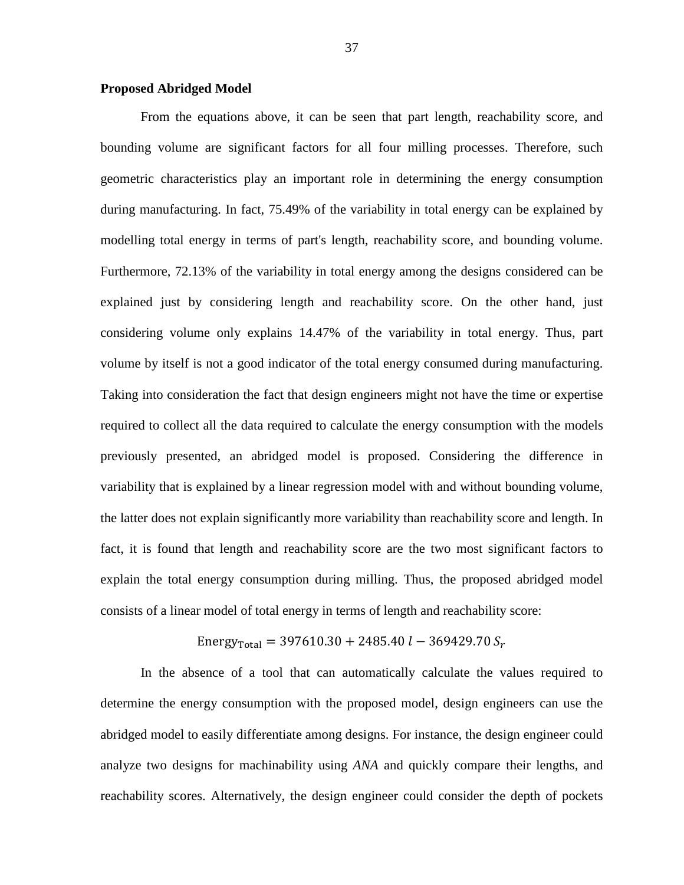# <span id="page-44-0"></span>**Proposed Abridged Model**

From the equations above, it can be seen that part length, reachability score, and bounding volume are significant factors for all four milling processes. Therefore, such geometric characteristics play an important role in determining the energy consumption during manufacturing. In fact, 75.49% of the variability in total energy can be explained by modelling total energy in terms of part's length, reachability score, and bounding volume. Furthermore, 72.13% of the variability in total energy among the designs considered can be explained just by considering length and reachability score. On the other hand, just considering volume only explains 14.47% of the variability in total energy. Thus, part volume by itself is not a good indicator of the total energy consumed during manufacturing. Taking into consideration the fact that design engineers might not have the time or expertise required to collect all the data required to calculate the energy consumption with the models previously presented, an abridged model is proposed. Considering the difference in variability that is explained by a linear regression model with and without bounding volume, the latter does not explain significantly more variability than reachability score and length. In fact, it is found that length and reachability score are the two most significant factors to explain the total energy consumption during milling. Thus, the proposed abridged model consists of a linear model of total energy in terms of length and reachability score:

Energy<sub>Total</sub> = 
$$
397610.30 + 2485.40 l - 369429.70 S_r
$$

In the absence of a tool that can automatically calculate the values required to determine the energy consumption with the proposed model, design engineers can use the abridged model to easily differentiate among designs. For instance, the design engineer could analyze two designs for machinability using *ANA* and quickly compare their lengths, and reachability scores. Alternatively, the design engineer could consider the depth of pockets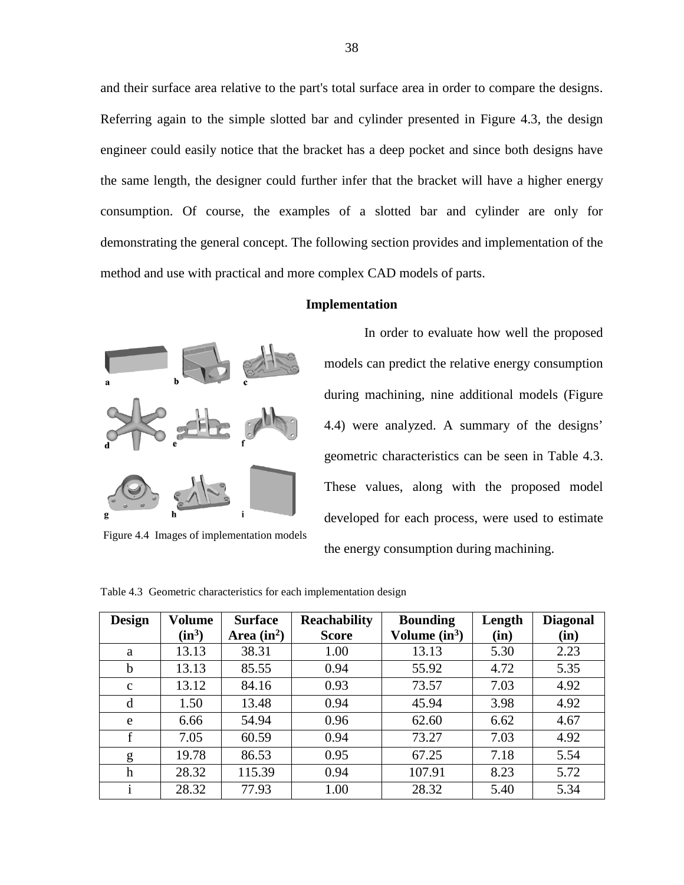and their surface area relative to the part's total surface area in order to compare the designs. Referring again to the simple slotted bar and cylinder presented in [Figure 4.3,](#page-41-0) the design engineer could easily notice that the bracket has a deep pocket and since both designs have the same length, the designer could further infer that the bracket will have a higher energy consumption. Of course, the examples of a slotted bar and cylinder are only for demonstrating the general concept. The following section provides and implementation of the method and use with practical and more complex CAD models of parts.

# **Implementation**

<span id="page-45-0"></span>

Figure 4.4 Images of implementation models

In order to evaluate how well the proposed models can predict the relative energy consumption during machining, nine additional models [\(Figure](#page-45-2)  [4.4\)](#page-45-2) were analyzed. A summary of the designs' geometric characteristics can be seen in [Table 4.3.](#page-45-1) These values, along with the proposed model developed for each process, were used to estimate the energy consumption during machining.

| <b>Design</b> | Volume   | <b>Surface</b> | <b>Reachability</b> | <b>Bounding</b> | Length | <b>Diagonal</b> |
|---------------|----------|----------------|---------------------|-----------------|--------|-----------------|
|               | $(in^3)$ | Area $(in^2)$  | <b>Score</b>        | Volume $(in^3)$ | (in)   | (in)            |
| a             | 13.13    | 38.31          | 1.00                | 13.13           | 5.30   | 2.23            |
| $\mathbf b$   | 13.13    | 85.55          | 0.94                | 55.92           | 4.72   | 5.35            |
| $\mathbf c$   | 13.12    | 84.16          | 0.93                | 73.57           | 7.03   | 4.92            |
| d             | 1.50     | 13.48          | 0.94                | 45.94           | 3.98   | 4.92            |
| e             | 6.66     | 54.94          | 0.96                | 62.60           | 6.62   | 4.67            |
| $\mathbf f$   | 7.05     | 60.59          | 0.94                | 73.27           | 7.03   | 4.92            |
| g             | 19.78    | 86.53          | 0.95                | 67.25           | 7.18   | 5.54            |
| h             | 28.32    | 115.39         | 0.94                | 107.91          | 8.23   | 5.72            |
|               | 28.32    | 77.93          | 1.00                | 28.32           | 5.40   | 5.34            |

<span id="page-45-2"></span><span id="page-45-1"></span>Table 4.3 Geometric characteristics for each implementation design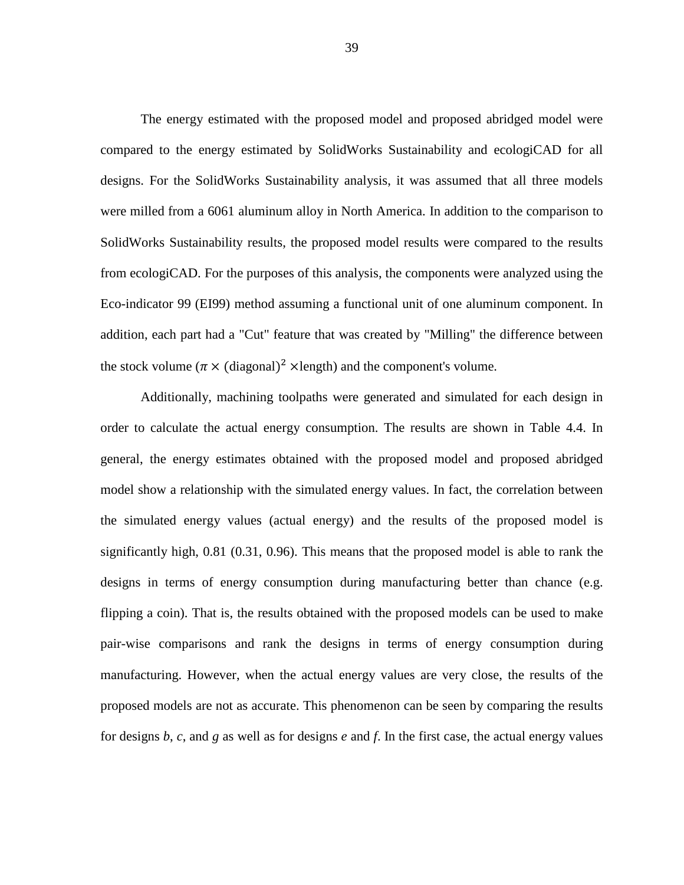The energy estimated with the proposed model and proposed abridged model were compared to the energy estimated by SolidWorks Sustainability and ecologiCAD for all designs. For the SolidWorks Sustainability analysis, it was assumed that all three models were milled from a 6061 aluminum alloy in North America. In addition to the comparison to SolidWorks Sustainability results, the proposed model results were compared to the results from ecologiCAD. For the purposes of this analysis, the components were analyzed using the Eco-indicator 99 (EI99) method assuming a functional unit of one aluminum component. In addition, each part had a "Cut" feature that was created by "Milling" the difference between the stock volume ( $\pi \times$  (diagonal)<sup>2</sup> ×length) and the component's volume.

Additionally, machining toolpaths were generated and simulated for each design in order to calculate the actual energy consumption. The results are shown in [Table 4.4.](#page-47-0) In general, the energy estimates obtained with the proposed model and proposed abridged model show a relationship with the simulated energy values. In fact, the correlation between the simulated energy values (actual energy) and the results of the proposed model is significantly high, 0.81 (0.31, 0.96). This means that the proposed model is able to rank the designs in terms of energy consumption during manufacturing better than chance (e.g. flipping a coin). That is, the results obtained with the proposed models can be used to make pair-wise comparisons and rank the designs in terms of energy consumption during manufacturing. However, when the actual energy values are very close, the results of the proposed models are not as accurate. This phenomenon can be seen by comparing the results for designs *b*, *c*, and *g* as well as for designs *e* and *f*. In the first case, the actual energy values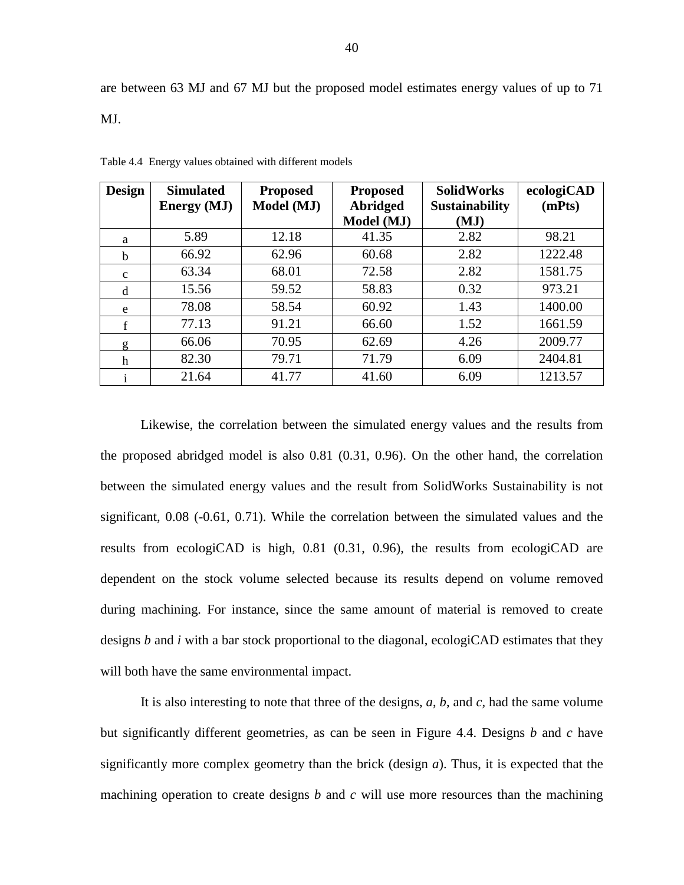### MJ.

| <b>Design</b> | <b>Simulated</b><br><b>Energy</b> (MJ) | <b>Proposed</b><br>Model (MJ) | <b>Proposed</b><br>Abridged | <b>SolidWorks</b><br><b>Sustainability</b> | ecologiCAD<br>(mPts) |
|---------------|----------------------------------------|-------------------------------|-----------------------------|--------------------------------------------|----------------------|
|               |                                        |                               | Model (MJ)                  | (MJ)                                       |                      |
| a             | 5.89                                   | 12.18                         | 41.35                       | 2.82                                       | 98.21                |
| b             | 66.92                                  | 62.96                         | 60.68                       | 2.82                                       | 1222.48              |
| $\mathbf c$   | 63.34                                  | 68.01                         | 72.58                       | 2.82                                       | 1581.75              |
| d             | 15.56                                  | 59.52                         | 58.83                       | 0.32                                       | 973.21               |
| e             | 78.08                                  | 58.54                         | 60.92                       | 1.43                                       | 1400.00              |
| f             | 77.13                                  | 91.21                         | 66.60                       | 1.52                                       | 1661.59              |
| g             | 66.06                                  | 70.95                         | 62.69                       | 4.26                                       | 2009.77              |
| h             | 82.30                                  | 79.71                         | 71.79                       | 6.09                                       | 2404.81              |
|               | 21.64                                  | 41.77                         | 41.60                       | 6.09                                       | 1213.57              |

<span id="page-47-0"></span>Table 4.4 Energy values obtained with different models

Likewise, the correlation between the simulated energy values and the results from the proposed abridged model is also 0.81 (0.31, 0.96). On the other hand, the correlation between the simulated energy values and the result from SolidWorks Sustainability is not significant, 0.08 (-0.61, 0.71). While the correlation between the simulated values and the results from ecologiCAD is high,  $0.81$  ( $0.31$ ,  $0.96$ ), the results from ecologiCAD are dependent on the stock volume selected because its results depend on volume removed during machining. For instance, since the same amount of material is removed to create designs *b* and *i* with a bar stock proportional to the diagonal, ecologiCAD estimates that they will both have the same environmental impact.

It is also interesting to note that three of the designs, *a*, *b*, and *c*, had the same volume but significantly different geometries, as can be seen in [Figure 4.4.](#page-45-2) Designs *b* and *c* have significantly more complex geometry than the brick (design *a*). Thus, it is expected that the machining operation to create designs *b* and *c* will use more resources than the machining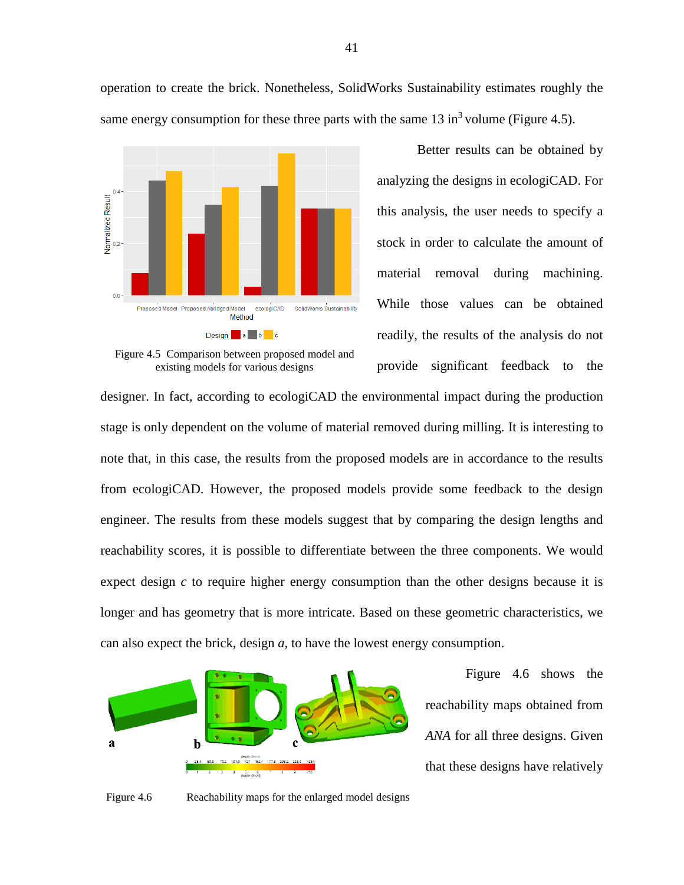operation to create the brick. Nonetheless, SolidWorks Sustainability estimates roughly the same energy consumption for these three parts with the same  $13 \text{ in}^3$  volume [\(Figure 4.5\)](#page-48-0).



<span id="page-48-0"></span>Figure 4.5 Comparison between proposed model and existing models for various designs

Better results can be obtained by analyzing the designs in ecologiCAD. For this analysis, the user needs to specify a stock in order to calculate the amount of material removal during machining. While those values can be obtained readily, the results of the analysis do not provide significant feedback to the

designer. In fact, according to ecologiCAD the environmental impact during the production stage is only dependent on the volume of material removed during milling. It is interesting to note that, in this case, the results from the proposed models are in accordance to the results from ecologiCAD. However, the proposed models provide some feedback to the design engineer. The results from these models suggest that by comparing the design lengths and reachability scores, it is possible to differentiate between the three components. We would expect design *c* to require higher energy consumption than the other designs because it is longer and has geometry that is more intricate. Based on these geometric characteristics, we can also expect the brick, design *a,* to have the lowest energy consumption.



[Figure 4.6](#page-48-1) shows the reachability maps obtained from *ANA* for all three designs. Given that these designs have relatively

<span id="page-48-1"></span>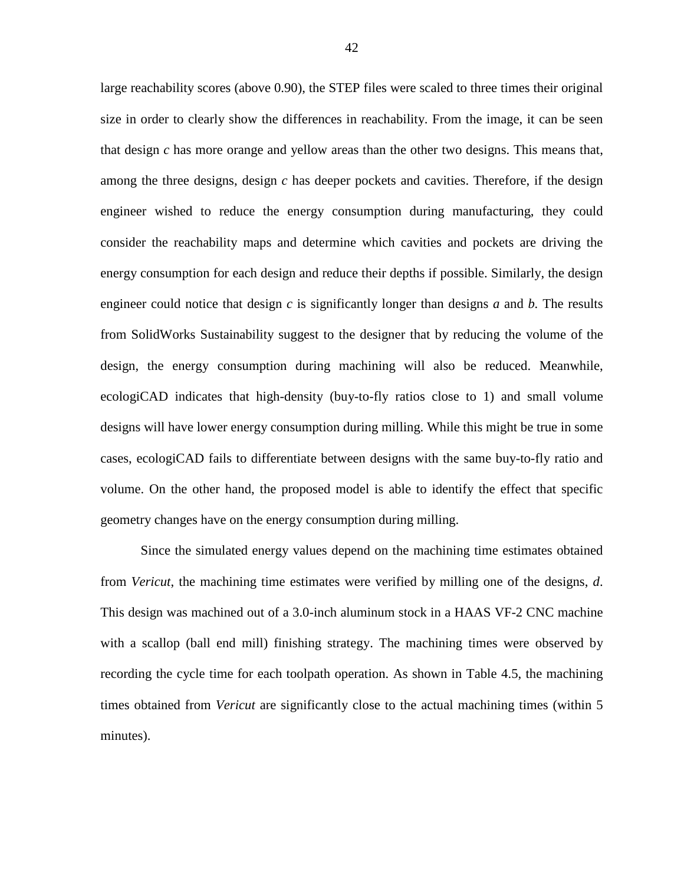large reachability scores (above 0.90), the STEP files were scaled to three times their original size in order to clearly show the differences in reachability. From the image, it can be seen that design *c* has more orange and yellow areas than the other two designs. This means that, among the three designs, design *c* has deeper pockets and cavities. Therefore, if the design engineer wished to reduce the energy consumption during manufacturing, they could consider the reachability maps and determine which cavities and pockets are driving the energy consumption for each design and reduce their depths if possible. Similarly, the design engineer could notice that design *c* is significantly longer than designs *a* and *b.* The results from SolidWorks Sustainability suggest to the designer that by reducing the volume of the design, the energy consumption during machining will also be reduced. Meanwhile, ecologiCAD indicates that high-density (buy-to-fly ratios close to 1) and small volume designs will have lower energy consumption during milling. While this might be true in some cases, ecologiCAD fails to differentiate between designs with the same buy-to-fly ratio and volume. On the other hand, the proposed model is able to identify the effect that specific geometry changes have on the energy consumption during milling.

Since the simulated energy values depend on the machining time estimates obtained from *Vericut*, the machining time estimates were verified by milling one of the designs, *d*. This design was machined out of a 3.0-inch aluminum stock in a HAAS VF-2 CNC machine with a scallop (ball end mill) finishing strategy. The machining times were observed by recording the cycle time for each toolpath operation. As shown in [Table 4.5,](#page-50-1) the machining times obtained from *Vericut* are significantly close to the actual machining times (within 5 minutes).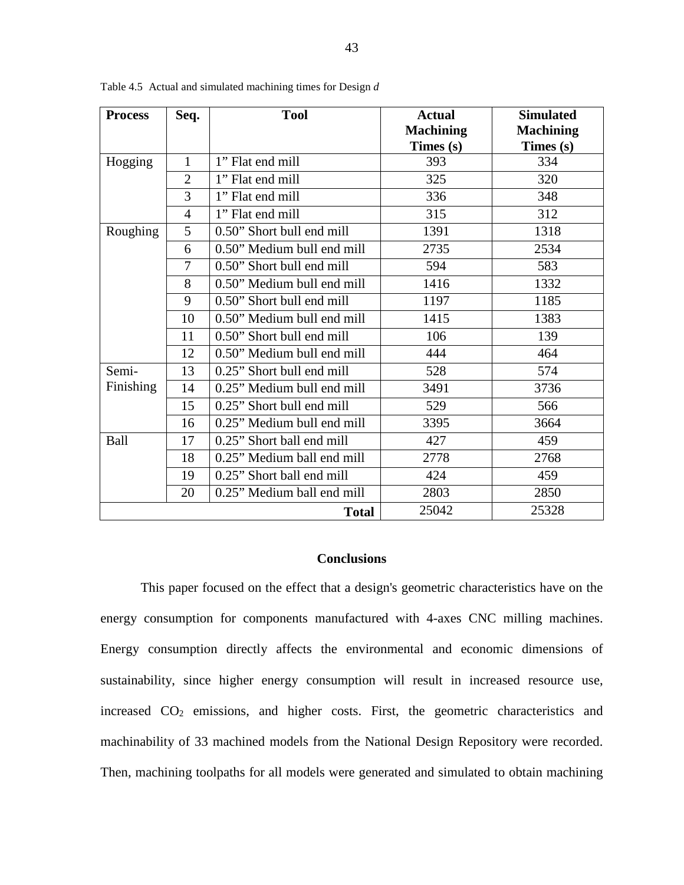| <b>Process</b> | Seq.           | <b>Tool</b>                | <b>Actual</b>    | <b>Simulated</b> |
|----------------|----------------|----------------------------|------------------|------------------|
|                |                |                            | <b>Machining</b> | <b>Machining</b> |
|                |                |                            | Times (s)        | Times $(s)$      |
| Hogging        | $\mathbf{1}$   | 1" Flat end mill           | 393              | 334              |
|                | $\overline{2}$ | 1" Flat end mill           | 325              | 320              |
|                | 3              | 1" Flat end mill           | 336              | 348              |
|                | $\overline{4}$ | 1" Flat end mill           | 315              | 312              |
| Roughing       | 5              | 0.50" Short bull end mill  | 1391             | 1318             |
|                | 6              | 0.50" Medium bull end mill | 2735             | 2534             |
|                | 7              | 0.50" Short bull end mill  | 594              | 583              |
|                | 8              | 0.50" Medium bull end mill | 1416             | 1332             |
|                | 9              | 0.50" Short bull end mill  | 1197             | 1185             |
|                | 10             | 0.50" Medium bull end mill | 1415             | 1383             |
|                | 11             | 0.50" Short bull end mill  | 106              | 139              |
|                | 12             | 0.50" Medium bull end mill | 444              | 464              |
| Semi-          | 13             | 0.25" Short bull end mill  | 528              | 574              |
| Finishing      | 14             | 0.25" Medium bull end mill | 3491             | 3736             |
|                | 15             | 0.25" Short bull end mill  | 529              | 566              |
|                | 16             | 0.25" Medium bull end mill | 3395             | 3664             |
| Ball           | 17             | 0.25" Short ball end mill  | 427              | 459              |
|                | 18             | 0.25" Medium ball end mill | 2778             | 2768             |
|                | 19             | 0.25" Short ball end mill  | 424              | 459              |
|                | 20             | 0.25" Medium ball end mill | 2803             | 2850             |
|                |                | <b>Total</b>               | 25042            | 25328            |

<span id="page-50-1"></span>Table 4.5 Actual and simulated machining times for Design *d*

### **Conclusions**

<span id="page-50-0"></span>This paper focused on the effect that a design's geometric characteristics have on the energy consumption for components manufactured with 4-axes CNC milling machines. Energy consumption directly affects the environmental and economic dimensions of sustainability, since higher energy consumption will result in increased resource use, increased CO2 emissions, and higher costs. First, the geometric characteristics and machinability of 33 machined models from the National Design Repository were recorded. Then, machining toolpaths for all models were generated and simulated to obtain machining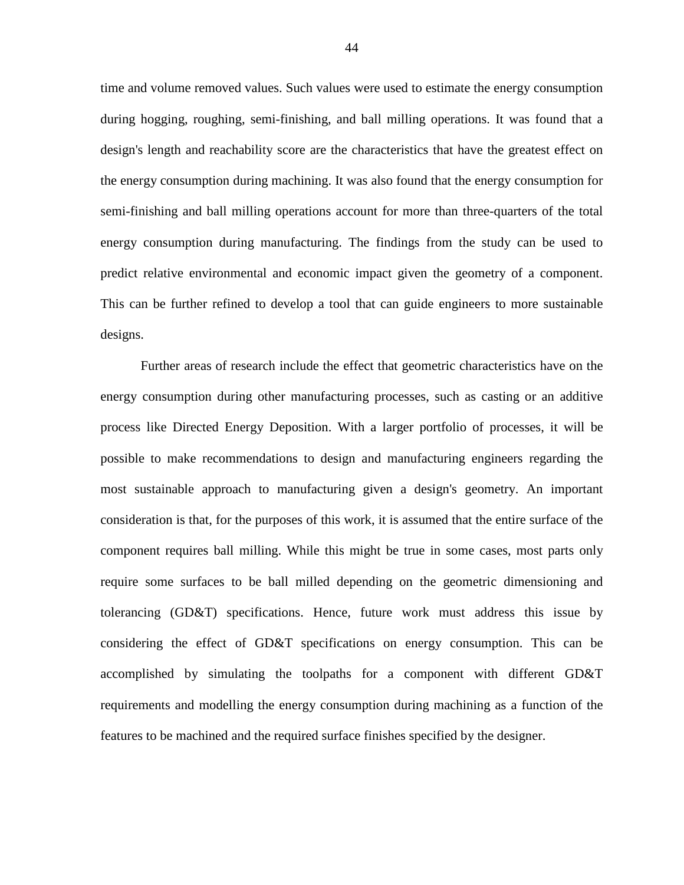time and volume removed values. Such values were used to estimate the energy consumption during hogging, roughing, semi-finishing, and ball milling operations. It was found that a design's length and reachability score are the characteristics that have the greatest effect on the energy consumption during machining. It was also found that the energy consumption for semi-finishing and ball milling operations account for more than three-quarters of the total energy consumption during manufacturing. The findings from the study can be used to predict relative environmental and economic impact given the geometry of a component. This can be further refined to develop a tool that can guide engineers to more sustainable designs.

Further areas of research include the effect that geometric characteristics have on the energy consumption during other manufacturing processes, such as casting or an additive process like Directed Energy Deposition. With a larger portfolio of processes, it will be possible to make recommendations to design and manufacturing engineers regarding the most sustainable approach to manufacturing given a design's geometry. An important consideration is that, for the purposes of this work, it is assumed that the entire surface of the component requires ball milling. While this might be true in some cases, most parts only require some surfaces to be ball milled depending on the geometric dimensioning and tolerancing (GD&T) specifications. Hence, future work must address this issue by considering the effect of GD&T specifications on energy consumption. This can be accomplished by simulating the toolpaths for a component with different GD&T requirements and modelling the energy consumption during machining as a function of the features to be machined and the required surface finishes specified by the designer.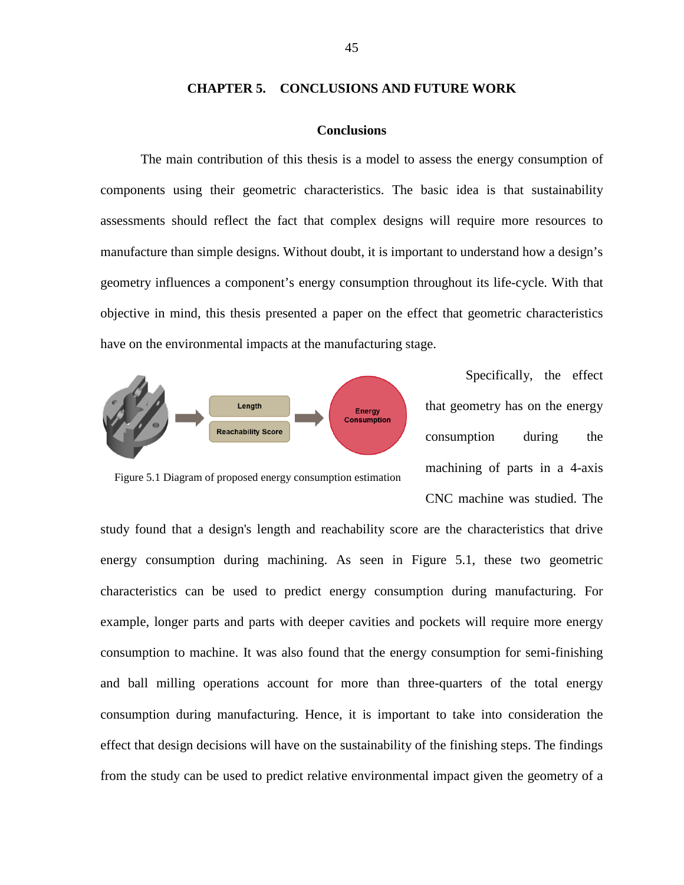### **CHAPTER 5. CONCLUSIONS AND FUTURE WORK**

# **Conclusions**

<span id="page-52-1"></span><span id="page-52-0"></span>The main contribution of this thesis is a model to assess the energy consumption of components using their geometric characteristics. The basic idea is that sustainability assessments should reflect the fact that complex designs will require more resources to manufacture than simple designs. Without doubt, it is important to understand how a design's geometry influences a component's energy consumption throughout its life-cycle. With that objective in mind, this thesis presented a paper on the effect that geometric characteristics have on the environmental impacts at the manufacturing stage.



Specifically, the effect that geometry has on the energy consumption during the machining of parts in a 4-axis CNC machine was studied. The

<span id="page-52-2"></span>Figure 5.1 Diagram of proposed energy consumption estimation

study found that a design's length and reachability score are the characteristics that drive energy consumption during machining. As seen in [Figure 5.1,](#page-52-2) these two geometric characteristics can be used to predict energy consumption during manufacturing. For example, longer parts and parts with deeper cavities and pockets will require more energy consumption to machine. It was also found that the energy consumption for semi-finishing and ball milling operations account for more than three-quarters of the total energy consumption during manufacturing. Hence, it is important to take into consideration the effect that design decisions will have on the sustainability of the finishing steps. The findings from the study can be used to predict relative environmental impact given the geometry of a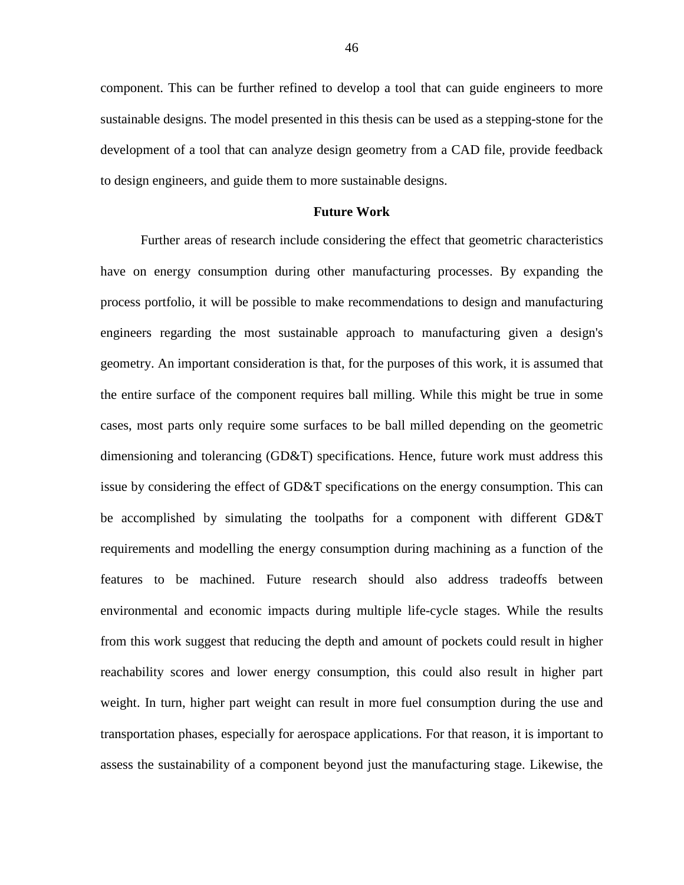component. This can be further refined to develop a tool that can guide engineers to more sustainable designs. The model presented in this thesis can be used as a stepping-stone for the development of a tool that can analyze design geometry from a CAD file, provide feedback to design engineers, and guide them to more sustainable designs.

### **Future Work**

<span id="page-53-0"></span>Further areas of research include considering the effect that geometric characteristics have on energy consumption during other manufacturing processes. By expanding the process portfolio, it will be possible to make recommendations to design and manufacturing engineers regarding the most sustainable approach to manufacturing given a design's geometry. An important consideration is that, for the purposes of this work, it is assumed that the entire surface of the component requires ball milling. While this might be true in some cases, most parts only require some surfaces to be ball milled depending on the geometric dimensioning and tolerancing (GD&T) specifications. Hence, future work must address this issue by considering the effect of GD&T specifications on the energy consumption. This can be accomplished by simulating the toolpaths for a component with different GD&T requirements and modelling the energy consumption during machining as a function of the features to be machined. Future research should also address tradeoffs between environmental and economic impacts during multiple life-cycle stages. While the results from this work suggest that reducing the depth and amount of pockets could result in higher reachability scores and lower energy consumption, this could also result in higher part weight. In turn, higher part weight can result in more fuel consumption during the use and transportation phases, especially for aerospace applications. For that reason, it is important to assess the sustainability of a component beyond just the manufacturing stage. Likewise, the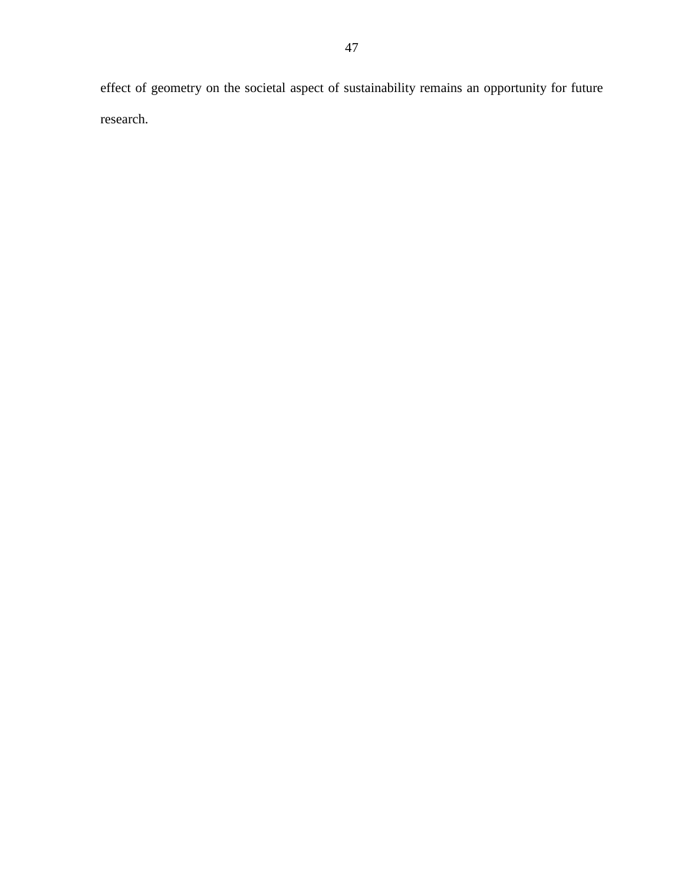effect of geometry on the societal aspect of sustainability remains an opportunity for future research.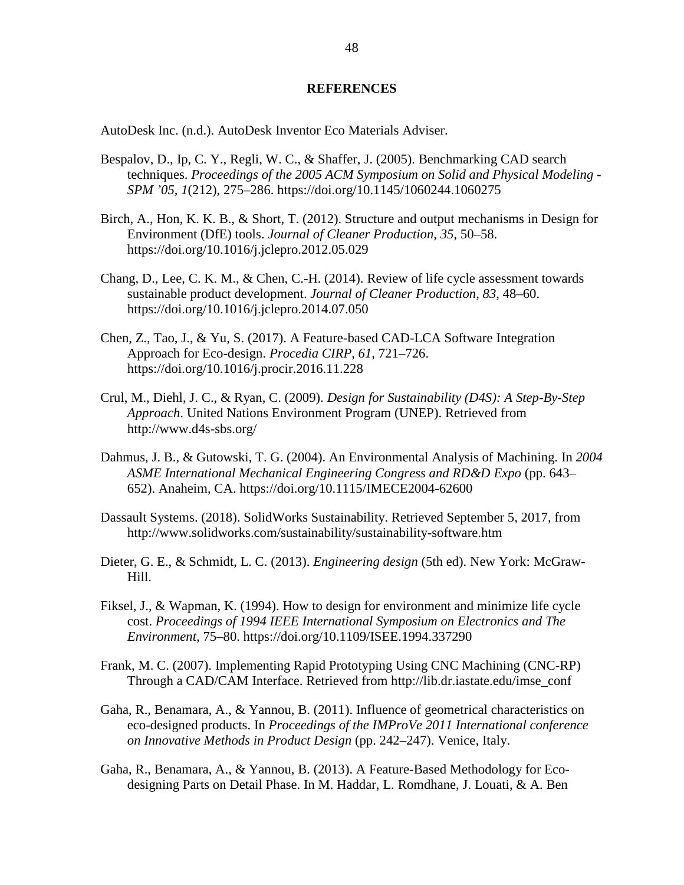## **REFERENCES**

<span id="page-55-0"></span>AutoDesk Inc. (n.d.). AutoDesk Inventor Eco Materials Adviser.

- Bespalov, D., Ip, C. Y., Regli, W. C., & Shaffer, J. (2005). Benchmarking CAD search techniques. *Proceedings of the 2005 ACM Symposium on Solid and Physical Modeling - SPM '05*, *1*(212), 275–286. https://doi.org/10.1145/1060244.1060275
- Birch, A., Hon, K. K. B., & Short, T. (2012). Structure and output mechanisms in Design for Environment (DfE) tools. *Journal of Cleaner Production*, *35*, 50–58. https://doi.org/10.1016/j.jclepro.2012.05.029
- Chang, D., Lee, C. K. M., & Chen, C.-H. (2014). Review of life cycle assessment towards sustainable product development. *Journal of Cleaner Production*, *83*, 48–60. https://doi.org/10.1016/j.jclepro.2014.07.050
- Chen, Z., Tao, J., & Yu, S. (2017). A Feature-based CAD-LCA Software Integration Approach for Eco-design. *Procedia CIRP*, *61*, 721–726. https://doi.org/10.1016/j.procir.2016.11.228
- Crul, M., Diehl, J. C., & Ryan, C. (2009). *Design for Sustainability (D4S): A Step-By-Step Approach*. United Nations Environment Program (UNEP). Retrieved from http://www.d4s-sbs.org/
- Dahmus, J. B., & Gutowski, T. G. (2004). An Environmental Analysis of Machining. In *2004 ASME International Mechanical Engineering Congress and RD&D Expo* (pp. 643– 652). Anaheim, CA. https://doi.org/10.1115/IMECE2004-62600
- Dassault Systems. (2018). SolidWorks Sustainability. Retrieved September 5, 2017, from http://www.solidworks.com/sustainability/sustainability-software.htm
- Dieter, G. E., & Schmidt, L. C. (2013). *Engineering design* (5th ed). New York: McGraw-Hill.
- Fiksel, J., & Wapman, K. (1994). How to design for environment and minimize life cycle cost. *Proceedings of 1994 IEEE International Symposium on Electronics and The Environment*, 75–80. https://doi.org/10.1109/ISEE.1994.337290
- Frank, M. C. (2007). Implementing Rapid Prototyping Using CNC Machining (CNC-RP) Through a CAD/CAM Interface. Retrieved from http://lib.dr.iastate.edu/imse\_conf
- Gaha, R., Benamara, A., & Yannou, B. (2011). Influence of geometrical characteristics on eco-designed products. In *Proceedings of the IMProVe 2011 International conference on Innovative Methods in Product Design* (pp. 242–247). Venice, Italy.
- Gaha, R., Benamara, A., & Yannou, B. (2013). A Feature-Based Methodology for Ecodesigning Parts on Detail Phase. In M. Haddar, L. Romdhane, J. Louati, & A. Ben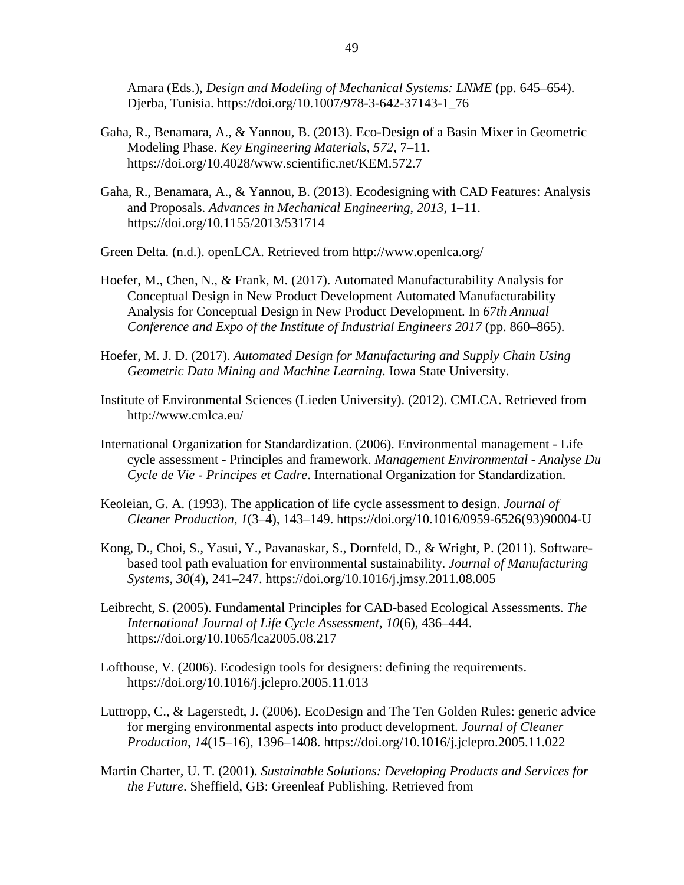Amara (Eds.), *Design and Modeling of Mechanical Systems: LNME* (pp. 645–654). Djerba, Tunisia. https://doi.org/10.1007/978-3-642-37143-1\_76

- Gaha, R., Benamara, A., & Yannou, B. (2013). Eco-Design of a Basin Mixer in Geometric Modeling Phase. *Key Engineering Materials*, *572*, 7–11. https://doi.org/10.4028/www.scientific.net/KEM.572.7
- Gaha, R., Benamara, A., & Yannou, B. (2013). Ecodesigning with CAD Features: Analysis and Proposals. *Advances in Mechanical Engineering*, *2013*, 1–11. https://doi.org/10.1155/2013/531714

Green Delta. (n.d.). openLCA. Retrieved from http://www.openlca.org/

- Hoefer, M., Chen, N., & Frank, M. (2017). Automated Manufacturability Analysis for Conceptual Design in New Product Development Automated Manufacturability Analysis for Conceptual Design in New Product Development. In *67th Annual Conference and Expo of the Institute of Industrial Engineers 2017* (pp. 860–865).
- Hoefer, M. J. D. (2017). *Automated Design for Manufacturing and Supply Chain Using Geometric Data Mining and Machine Learning*. Iowa State University.
- Institute of Environmental Sciences (Lieden University). (2012). CMLCA. Retrieved from http://www.cmlca.eu/
- International Organization for Standardization. (2006). Environmental management Life cycle assessment - Principles and framework. *Management Environmental - Analyse Du Cycle de Vie - Principes et Cadre*. International Organization for Standardization.
- Keoleian, G. A. (1993). The application of life cycle assessment to design. *Journal of Cleaner Production*, *1*(3–4), 143–149. https://doi.org/10.1016/0959-6526(93)90004-U
- Kong, D., Choi, S., Yasui, Y., Pavanaskar, S., Dornfeld, D., & Wright, P. (2011). Softwarebased tool path evaluation for environmental sustainability. *Journal of Manufacturing Systems*, *30*(4), 241–247. https://doi.org/10.1016/j.jmsy.2011.08.005
- Leibrecht, S. (2005). Fundamental Principles for CAD-based Ecological Assessments. *The International Journal of Life Cycle Assessment*, *10*(6), 436–444. https://doi.org/10.1065/lca2005.08.217
- Lofthouse, V. (2006). Ecodesign tools for designers: defining the requirements. https://doi.org/10.1016/j.jclepro.2005.11.013
- Luttropp, C., & Lagerstedt, J. (2006). EcoDesign and The Ten Golden Rules: generic advice for merging environmental aspects into product development. *Journal of Cleaner Production*, *14*(15–16), 1396–1408. https://doi.org/10.1016/j.jclepro.2005.11.022
- Martin Charter, U. T. (2001). *Sustainable Solutions: Developing Products and Services for the Future*. Sheffield, GB: Greenleaf Publishing. Retrieved from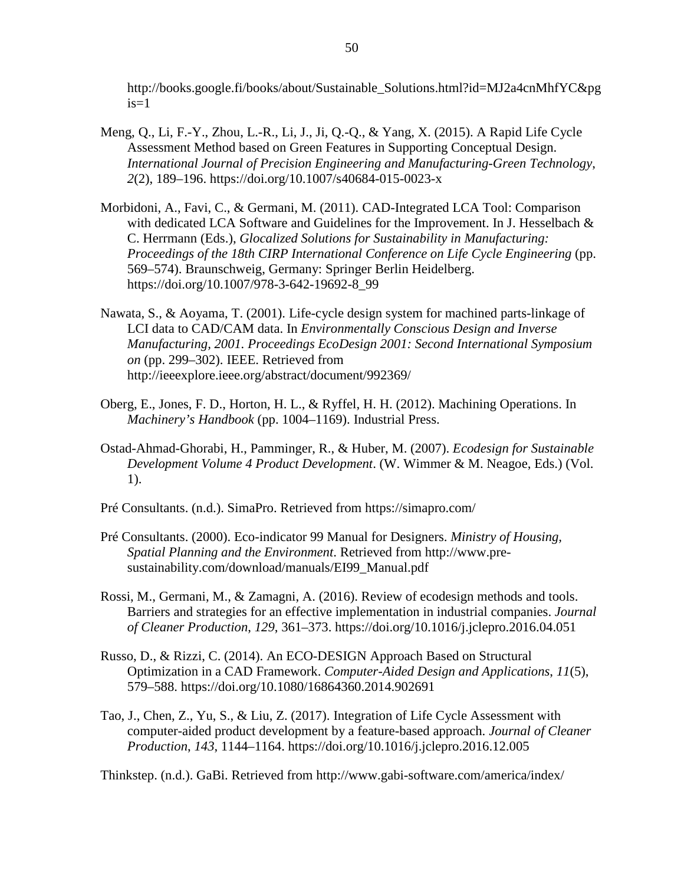http://books.google.fi/books/about/Sustainable\_Solutions.html?id=MJ2a4cnMhfYC&pg  $is=1$ 

- Meng, Q., Li, F.-Y., Zhou, L.-R., Li, J., Ji, Q.-Q., & Yang, X. (2015). A Rapid Life Cycle Assessment Method based on Green Features in Supporting Conceptual Design. *International Journal of Precision Engineering and Manufacturing-Green Technology*, *2*(2), 189–196. https://doi.org/10.1007/s40684-015-0023-x
- Morbidoni, A., Favi, C., & Germani, M. (2011). CAD-Integrated LCA Tool: Comparison with dedicated LCA Software and Guidelines for the Improvement. In J. Hesselbach & C. Herrmann (Eds.), *Glocalized Solutions for Sustainability in Manufacturing: Proceedings of the 18th CIRP International Conference on Life Cycle Engineering* (pp. 569–574). Braunschweig, Germany: Springer Berlin Heidelberg. https://doi.org/10.1007/978-3-642-19692-8\_99
- Nawata, S., & Aoyama, T. (2001). Life-cycle design system for machined parts-linkage of LCI data to CAD/CAM data. In *Environmentally Conscious Design and Inverse Manufacturing, 2001. Proceedings EcoDesign 2001: Second International Symposium on* (pp. 299–302). IEEE. Retrieved from http://ieeexplore.ieee.org/abstract/document/992369/
- Oberg, E., Jones, F. D., Horton, H. L., & Ryffel, H. H. (2012). Machining Operations. In *Machinery's Handbook* (pp. 1004–1169). Industrial Press.
- Ostad-Ahmad-Ghorabi, H., Pamminger, R., & Huber, M. (2007). *Ecodesign for Sustainable Development Volume 4 Product Development*. (W. Wimmer & M. Neagoe, Eds.) (Vol. 1).
- Pré Consultants. (n.d.). SimaPro. Retrieved from https://simapro.com/
- Pré Consultants. (2000). Eco-indicator 99 Manual for Designers. *Ministry of Housing, Spatial Planning and the Environment*. Retrieved from http://www.presustainability.com/download/manuals/EI99\_Manual.pdf
- Rossi, M., Germani, M., & Zamagni, A. (2016). Review of ecodesign methods and tools. Barriers and strategies for an effective implementation in industrial companies. *Journal of Cleaner Production*, *129*, 361–373. https://doi.org/10.1016/j.jclepro.2016.04.051
- Russo, D., & Rizzi, C. (2014). An ECO-DESIGN Approach Based on Structural Optimization in a CAD Framework. *Computer-Aided Design and Applications*, *11*(5), 579–588. https://doi.org/10.1080/16864360.2014.902691
- Tao, J., Chen, Z., Yu, S., & Liu, Z. (2017). Integration of Life Cycle Assessment with computer-aided product development by a feature-based approach. *Journal of Cleaner Production*, *143*, 1144–1164. https://doi.org/10.1016/j.jclepro.2016.12.005

Thinkstep. (n.d.). GaBi. Retrieved from http://www.gabi-software.com/america/index/